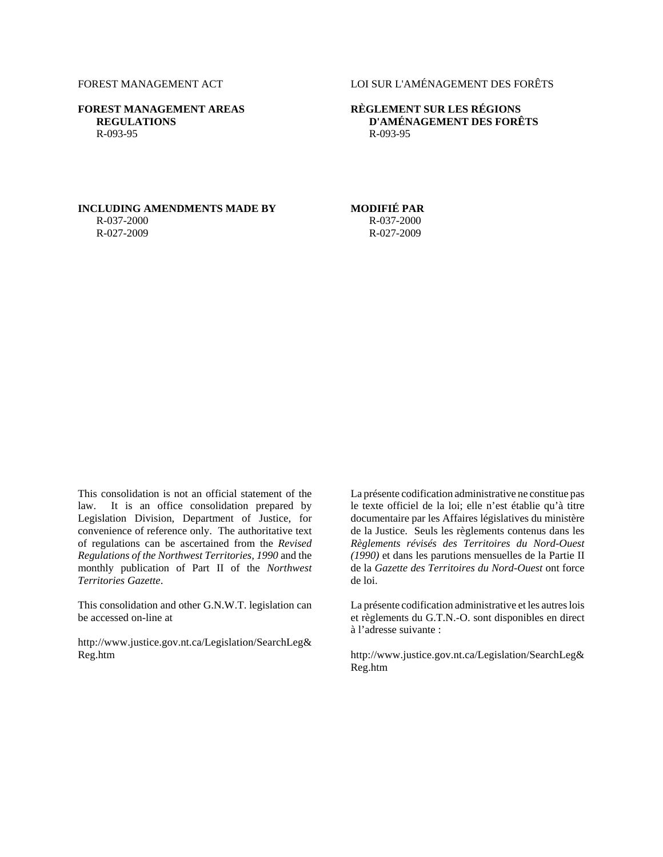**FOREST MANAGEMENT AREAS REGULATIONS** R-093-95

## FOREST MANAGEMENT ACT LOI SUR L'AMÉNAGEMENT DES FORÊTS

### **RÈGLEMENT SUR LES RÉGIONS D'AMÉNAGEMENT DES FORÊTS** R-093-95

# **INCLUDING AMENDMENTS MADE BY MODIFIÉ PAR**

R-037-2000 R-027-2009

# R-037-2000 R-027-2009

This consolidation is not an official statement of the law. It is an office consolidation prepared by Legislation Division, Department of Justice, for convenience of reference only. The authoritative text of regulations can be ascertained from the *Revised Regulations of the Northwest Territories, 1990* and the monthly publication of Part II of the *Northwest Territories Gazette*.

This consolidation and other G.N.W.T. legislation can be accessed on-line at

http://www.justice.gov.nt.ca/Legislation/SearchLeg& Reg.htm

La présente codification administrative ne constitue pas le texte officiel de la loi; elle n'est établie qu'à titre documentaire par les Affaires législatives du ministère de la Justice. Seuls les règlements contenus dans les *Règlements révisés des Territoires du Nord-Ouest (1990)* et dans les parutions mensuelles de la Partie II de la *Gazette des Territoires du Nord-Ouest* ont force de loi.

La présente codification administrative et les autres lois et règlements du G.T.N.-O. sont disponibles en direct à l'adresse suivante :

http://www.justice.gov.nt.ca/Legislation/SearchLeg& Reg.htm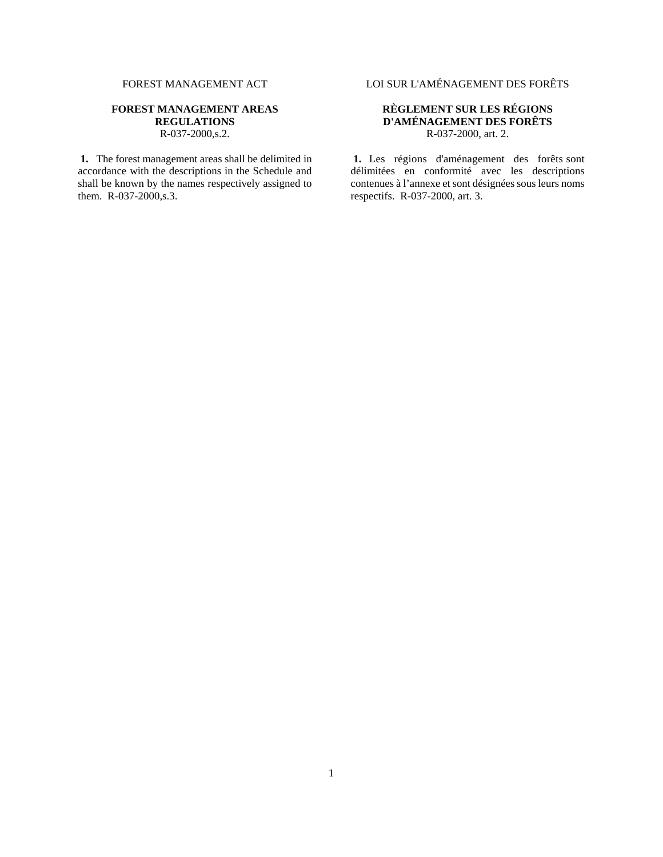### **FOREST MANAGEMENT AREAS REGULATIONS** R-037-2000,s.2.

**1.** The forest management areas shall be delimited in accordance with the descriptions in the Schedule and shall be known by the names respectively assigned to them. R-037-2000,s.3.

FOREST MANAGEMENT ACT LOI SUR L'AMÉNAGEMENT DES FORÊTS

### **RÈGLEMENT SUR LES RÉGIONS D'AMÉNAGEMENT DES FORÊTS** R-037-2000, art. 2.

**1.** Les régions d'aménagement des forêts sont délimitées en conformité avec les descriptions contenues à l'annexe et sont désignées sous leurs noms respectifs. R-037-2000, art. 3.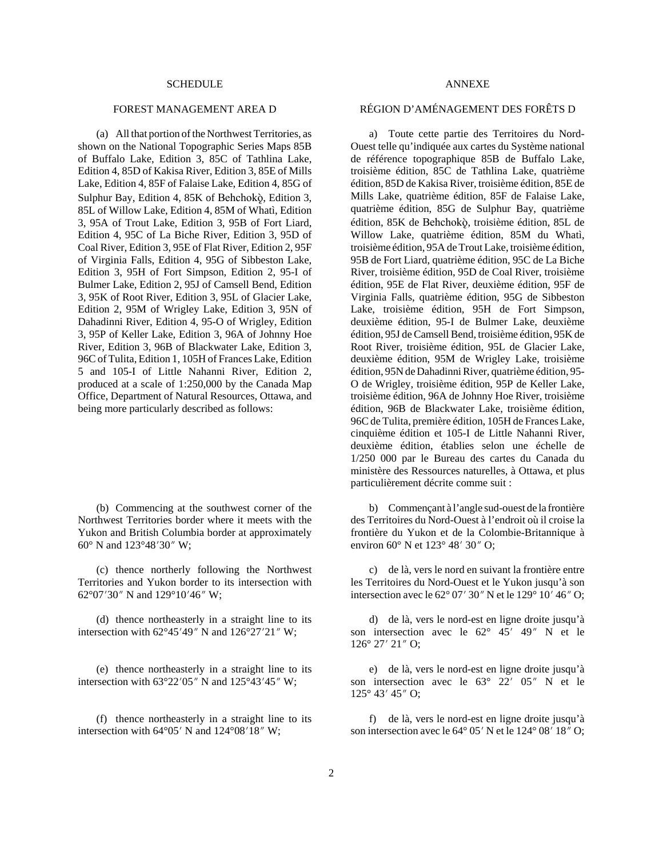(a) All that portion of the Northwest Territories, as shown on the National Topographic Series Maps 85B of Buffalo Lake, Edition 3, 85C of Tathlina Lake, Edition 4, 85D of Kakisa River, Edition 3, 85E of Mills Lake, Edition 4, 85F of Falaise Lake, Edition 4, 85G of Sulphur Bay, Edition 4, 85K of Behchokö, Edition 3, 85L of Willow Lake, Edition 4, 85M of Whatì, Edition 3, 95A of Trout Lake, Edition 3, 95B of Fort Liard, Edition 4, 95C of La Biche River, Edition 3, 95D of Coal River, Edition 3, 95E of Flat River, Edition 2, 95F of Virginia Falls, Edition 4, 95G of Sibbeston Lake, Edition 3, 95H of Fort Simpson, Edition 2, 95-I of Bulmer Lake, Edition 2, 95J of Camsell Bend, Edition 3, 95K of Root River, Edition 3, 95L of Glacier Lake, Edition 2, 95M of Wrigley Lake, Edition 3, 95N of Dahadinni River, Edition 4, 95-O of Wrigley, Edition 3, 95P of Keller Lake, Edition 3, 96A of Johnny Hoe River, Edition 3, 96B of Blackwater Lake, Edition 3, 96C of Tulita, Edition 1, 105H of Frances Lake, Edition 5 and 105-I of Little Nahanni River, Edition 2, produced at a scale of 1:250,000 by the Canada Map Office, Department of Natural Resources, Ottawa, and being more particularly described as follows:

(b) Commencing at the southwest corner of the Northwest Territories border where it meets with the Yukon and British Columbia border at approximately 60 $\degree$  N and 123 $\degree$ 48'30" W;

(c) thence northerly following the Northwest Territories and Yukon border to its intersection with 62°07'30" N and 129°10'46" W;

(d) thence northeasterly in a straight line to its intersection with  $62^{\circ}45'49''$  N and  $126^{\circ}27'21''$  W;

(e) thence northeasterly in a straight line to its intersection with  $63^{\circ}22'05''$  N and  $125^{\circ}43'45''$  W;

(f) thence northeasterly in a straight line to its intersection with  $64^{\circ}05'$  N and  $124^{\circ}08'18''$  W;

### FOREST MANAGEMENT AREA D RÉGION D'AMÉNAGEMENT DES FORÊTS D

a) Toute cette partie des Territoires du Nord-Ouest telle qu'indiquée aux cartes du Système national de référence topographique 85B de Buffalo Lake, troisième édition, 85C de Tathlina Lake, quatrième édition, 85D de Kakisa River, troisième édition, 85E de Mills Lake, quatrième édition, 85F de Falaise Lake, quatrième édition, 85G de Sulphur Bay, quatrième édition, 85K de Behchokö, troisième édition, 85L de Willow Lake, quatrième édition, 85M du Whatì, troisième édition, 95A de Trout Lake, troisième édition, 95B de Fort Liard, quatrième édition, 95C de La Biche River, troisième édition, 95D de Coal River, troisième édition, 95E de Flat River, deuxième édition, 95F de Virginia Falls, quatrième édition, 95G de Sibbeston Lake, troisième édition, 95H de Fort Simpson, deuxième édition, 95-I de Bulmer Lake, deuxième édition, 95J de Camsell Bend, troisième édition, 95K de Root River, troisième édition, 95L de Glacier Lake, deuxième édition, 95M de Wrigley Lake, troisième édition, 95N de Dahadinni River, quatrième édition, 95- O de Wrigley, troisième édition, 95P de Keller Lake, troisième édition, 96A de Johnny Hoe River, troisième édition, 96B de Blackwater Lake, troisième édition, 96C de Tulita, première édition, 105H de Frances Lake, cinquième édition et 105-I de Little Nahanni River, deuxième édition, établies selon une échelle de 1/250 000 par le Bureau des cartes du Canada du ministère des Ressources naturelles, à Ottawa, et plus particulièrement décrite comme suit :

b) Commençant à l'angle sud-ouest de la frontière des Territoires du Nord-Ouest à l'endroit où il croise la frontière du Yukon et de la Colombie-Britannique à environ 60 $\degree$  N et 123 $\degree$  48' 30" O;

c) de là, vers le nord en suivant la frontière entre les Territoires du Nord-Ouest et le Yukon jusqu'à son intersection avec le  $62^{\circ}$  07' 30" N et le 129° 10' 46" O;

d) de là, vers le nord-est en ligne droite jusqu'à son intersection avec le  $62^{\circ}$  45' 49" N et le  $126^{\circ}$  27' 21" O;

e) de là, vers le nord-est en ligne droite jusqu'à son intersection avec le  $63^{\circ}$   $22'$   $05''$  N et le  $125^{\circ}$  43' 45" O;

f) de là, vers le nord-est en ligne droite jusqu'à son intersection avec le  $64^{\circ}$  05' N et le  $124^{\circ}$  08' 18" O;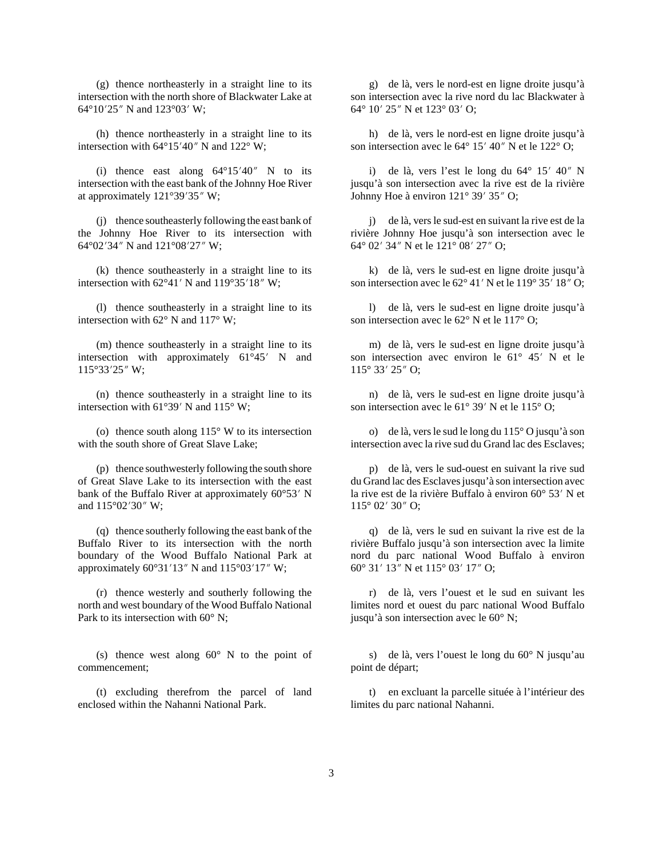(g) thence northeasterly in a straight line to its intersection with the north shore of Blackwater Lake at  $64^{\circ}10'25''$  N and  $123^{\circ}03'$  W;

(h) thence northeasterly in a straight line to its intersection with  $64^{\circ}15'40''$  N and  $122^{\circ}$  W;

(i) thence east along  $64^{\circ}15'40''$  N to its intersection with the east bank of the Johnny Hoe River at approximately  $121^{\circ}39'35''$  W;

(j) thence southeasterly following the east bank of the Johnny Hoe River to its intersection with 64 $^{\circ}$ 02'34" N and 121 $^{\circ}$ 08'27" W;

(k) thence southeasterly in a straight line to its intersection with  $62^{\circ}41'$  N and  $119^{\circ}35'18''$  W;

(l) thence southeasterly in a straight line to its intersection with 62° N and 117° W;

(m) thence southeasterly in a straight line to its intersection with approximately  $61^{\circ}45'$  N and  $115°33'25''$  W;

(n) thence southeasterly in a straight line to its intersection with  $61^{\circ}39'$  N and  $115^{\circ}$  W;

(o) thence south along  $115^{\circ}$  W to its intersection with the south shore of Great Slave Lake;

(p) thence southwesterly following the south shore of Great Slave Lake to its intersection with the east bank of the Buffalo River at approximately  $60^{\circ}53'$  N and  $115^{\circ}02'30''$  W;

(q) thence southerly following the east bank of the Buffalo River to its intersection with the north boundary of the Wood Buffalo National Park at approximately  $60^{\circ}31'13''$  N and  $115^{\circ}03'17''$  W;

(r) thence westerly and southerly following the north and west boundary of the Wood Buffalo National Park to its intersection with 60 $^{\circ}$  N:

(s) thence west along  $60^{\circ}$  N to the point of commencement;

(t) excluding therefrom the parcel of land enclosed within the Nahanni National Park.

g) de là, vers le nord-est en ligne droite jusqu'à son intersection avec la rive nord du lac Blackwater à 64° 10′ 25″ N et 123° 03′ O;

h) de là, vers le nord-est en ligne droite jusqu'à son intersection avec le  $64^{\circ}$  15' 40" N et le 122 $^{\circ}$  O;

i) de là, vers l'est le long du  $64^{\circ}$  15'  $40''$  N jusqu'à son intersection avec la rive est de la rivière Johnny Hoe à environ  $121^\circ 39' 35''$  O;

j) de là, vers le sud-est en suivant la rive est de la rivière Johnny Hoe jusqu'à son intersection avec le 64° 02′ 34″ N et le 121° 08′ 27″ O;

k) de là, vers le sud-est en ligne droite jusqu'à son intersection avec le  $62^{\circ}$  41' N et le 119 $^{\circ}$  35' 18" O;

l) de là, vers le sud-est en ligne droite jusqu'à son intersection avec le 62° N et le 117° O;

m) de là, vers le sud-est en ligne droite jusqu'à son intersection avec environ le  $61^{\circ}$  45' N et le  $115^{\circ} 33' 25''$  O;

n) de là, vers le sud-est en ligne droite jusqu'à son intersection avec le  $61^{\circ}$  39' N et le  $115^{\circ}$  O;

o) de là, vers le sud le long du 115° O jusqu'à son intersection avec la rive sud du Grand lac des Esclaves;

p) de là, vers le sud-ouest en suivant la rive sud du Grand lac des Esclaves jusqu'à son intersection avec la rive est de la rivière Buffalo à environ  $60^{\circ}$  53' N et  $115^{\circ}$  02' 30" O;

q) de là, vers le sud en suivant la rive est de la rivière Buffalo jusqu'à son intersection avec la limite nord du parc national Wood Buffalo à environ 60° 31′ 13″ N et 115° 03′ 17″ O;

r) de là, vers l'ouest et le sud en suivant les limites nord et ouest du parc national Wood Buffalo jusqu'à son intersection avec le 60° N;

s) de là, vers l'ouest le long du 60° N jusqu'au point de départ;

t) en excluant la parcelle située à l'intérieur des limites du parc national Nahanni.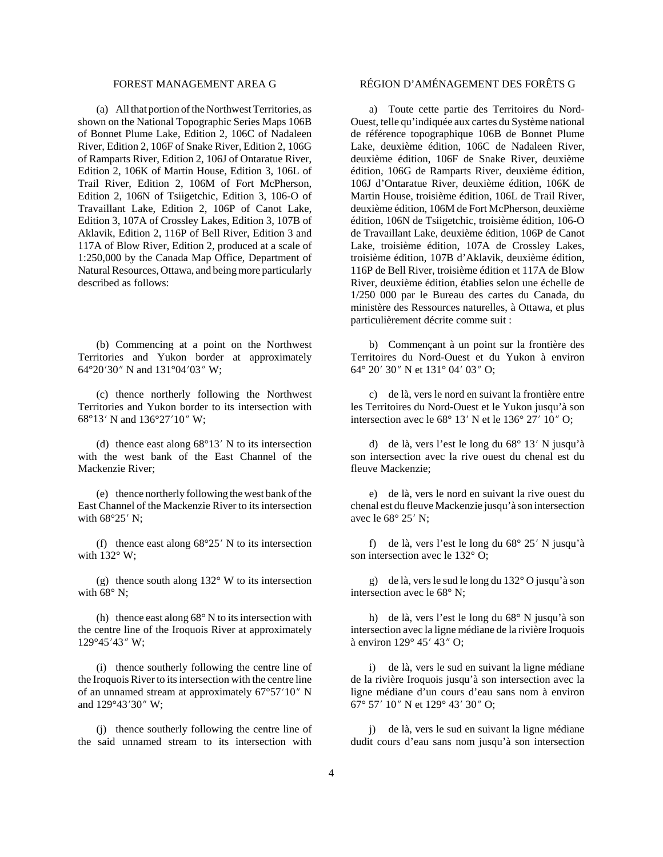(a) All that portion of the Northwest Territories, as shown on the National Topographic Series Maps 106B of Bonnet Plume Lake, Edition 2, 106C of Nadaleen River, Edition 2, 106F of Snake River, Edition 2, 106G of Ramparts River, Edition 2, 106J of Ontaratue River, Edition 2, 106K of Martin House, Edition 3, 106L of Trail River, Edition 2, 106M of Fort McPherson, Edition 2, 106N of Tsiigetchic, Edition 3, 106-O of Travaillant Lake, Edition 2, 106P of Canot Lake, Edition 3, 107A of Crossley Lakes, Edition 3, 107B of Aklavik, Edition 2, 116P of Bell River, Edition 3 and 117A of Blow River, Edition 2, produced at a scale of 1:250,000 by the Canada Map Office, Department of Natural Resources, Ottawa, and being more particularly described as follows:

(b) Commencing at a point on the Northwest Territories and Yukon border at approximately 64°20'30" N and 131°04'03" W;

(c) thence northerly following the Northwest Territories and Yukon border to its intersection with 68°13′ N and 136°27′ 10″ W;

(d) thence east along  $68^{\circ}13'$  N to its intersection with the west bank of the East Channel of the Mackenzie River;

(e) thence northerly following the west bank of the East Channel of the Mackenzie River to its intersection with  $68^{\circ}25'$  N;

(f) thence east along  $68^{\circ}25'$  N to its intersection with 132° W;

(g) thence south along 132° W to its intersection with  $68^\circ$  N;

(h) thence east along  $68^{\circ}$  N to its intersection with the centre line of the Iroquois River at approximately 129°45'43" W;

(i) thence southerly following the centre line of the Iroquois River to its intersection with the centre line of an unnamed stream at approximately  $67^{\circ}57'10''$  N and 129°43'30" W;

(j) thence southerly following the centre line of the said unnamed stream to its intersection with

# FOREST MANAGEMENT AREA G RÉGION D'AMÉNAGEMENT DES FORÊTS G

a) Toute cette partie des Territoires du Nord-Ouest, telle qu'indiquée aux cartes du Système national de référence topographique 106B de Bonnet Plume Lake, deuxième édition, 106C de Nadaleen River, deuxième édition, 106F de Snake River, deuxième édition, 106G de Ramparts River, deuxième édition, 106J d'Ontaratue River, deuxième édition, 106K de Martin House, troisième édition, 106L de Trail River, deuxième édition, 106M de Fort McPherson, deuxième édition, 106N de Tsiigetchic, troisième édition, 106-O de Travaillant Lake, deuxième édition, 106P de Canot Lake, troisième édition, 107A de Crossley Lakes, troisième édition, 107B d'Aklavik, deuxième édition, 116P de Bell River, troisième édition et 117A de Blow River, deuxième édition, établies selon une échelle de 1/250 000 par le Bureau des cartes du Canada, du ministère des Ressources naturelles, à Ottawa, et plus particulièrement décrite comme suit :

b) Commençant à un point sur la frontière des Territoires du Nord-Ouest et du Yukon à environ 64° 20′ 30″ N et 131° 04′ 03″ O;

c) de là, vers le nord en suivant la frontière entre les Territoires du Nord-Ouest et le Yukon jusqu'à son intersection avec le  $68^{\circ}$  13' N et le  $136^{\circ}$  27' 10" O;

d) de là, vers l'est le long du 68° 13' N jusqu'à son intersection avec la rive ouest du chenal est du fleuve Mackenzie;

e) de là, vers le nord en suivant la rive ouest du chenal est du fleuve Mackenzie jusqu'à son intersection avec le  $68^{\circ}$  25' N;

f) de là, vers l'est le long du  $68^{\circ}$  25' N jusqu'à son intersection avec le 132° O;

g) de là, vers le sud le long du 132° O jusqu'à son intersection avec le 68° N;

h) de là, vers l'est le long du 68° N jusqu'à son intersection avec la ligne médiane de la rivière Iroquois à environ  $129^\circ$  45' 43" O;

i) de là, vers le sud en suivant la ligne médiane de la rivière Iroquois jusqu'à son intersection avec la ligne médiane d'un cours d'eau sans nom à environ 67° 57′ 10″ N et 129° 43′ 30″ O;

j) de là, vers le sud en suivant la ligne médiane dudit cours d'eau sans nom jusqu'à son intersection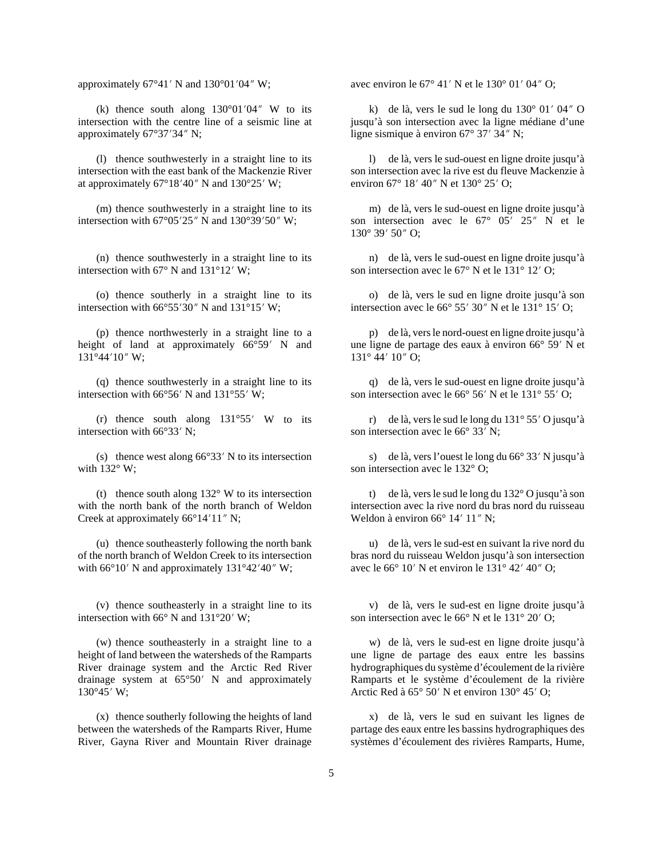(k) thence south along  $130^{\circ}01'04''$  W to its intersection with the centre line of a seismic line at approximately  $67^{\circ}37'34''$  N;

(l) thence southwesterly in a straight line to its intersection with the east bank of the Mackenzie River at approximately  $67^{\circ}18'40''$  N and  $130^{\circ}25'$  W;

(m) thence southwesterly in a straight line to its intersection with  $67^{\circ}05'25''$  N and  $130^{\circ}39'50''$  W;

(n) thence southwesterly in a straight line to its intersection with 67 $\degree$  N and 131 $\degree$ 12' W;

(o) thence southerly in a straight line to its intersection with  $66^{\circ}55'30''$  N and  $131^{\circ}15'$  W;

(p) thence northwesterly in a straight line to a height of land at approximately  $66°59'$  N and  $131^{\circ}44'10''$  W;

(q) thence southwesterly in a straight line to its intersection with  $66^{\circ}56'$  N and  $131^{\circ}55'$  W;

(r) thence south along  $131^{\circ}55'$  W to its intersection with  $66^{\circ}33'$  N;

(s) thence west along  $66^{\circ}33'$  N to its intersection with 132° W:

(t) thence south along  $132^{\circ}$  W to its intersection with the north bank of the north branch of Weldon Creek at approximately  $66^{\circ}14'11''$  N;

(u) thence southeasterly following the north bank of the north branch of Weldon Creek to its intersection with  $66^{\circ}10'$  N and approximately  $131^{\circ}42'40''$  W;

(v) thence southeasterly in a straight line to its intersection with  $66^{\circ}$  N and  $131^{\circ}20'$  W;

(w) thence southeasterly in a straight line to a height of land between the watersheds of the Ramparts River drainage system and the Arctic Red River drainage system at  $65^{\circ}50'$  N and approximately  $130^{\circ}45'$  W;

(x) thence southerly following the heights of land between the watersheds of the Ramparts River, Hume River, Gayna River and Mountain River drainage

approximately  $67^{\circ}41'$  N and  $130^{\circ}01'04''$  W; avec environ le  $67^{\circ}41'$  N et le  $130^{\circ}01'04''$  O;

k) de là, vers le sud le long du  $130^{\circ}$  01' 04" O jusqu'à son intersection avec la ligne médiane d'une ligne sismique à environ  $67^{\circ}$  37' 34" N;

l) de là, vers le sud-ouest en ligne droite jusqu'à son intersection avec la rive est du fleuve Mackenzie à environ 67° 18′ 40″ N et 130° 25′ O;

m) de là, vers le sud-ouest en ligne droite jusqu'à son intersection avec le  $67^{\circ}$   $05'$   $25''$  N et le  $130^{\circ}$  39' 50" O;

n) de là, vers le sud-ouest en ligne droite jusqu'à son intersection avec le  $67^{\circ}$  N et le  $131^{\circ}$  12' O;

o) de là, vers le sud en ligne droite jusqu'à son intersection avec le  $66^{\circ}$  55' 30" N et le 131 $^{\circ}$  15' O;

p) de là, vers le nord-ouest en ligne droite jusqu'à une ligne de partage des eaux à environ  $66^{\circ}$  59' N et  $131^{\circ}$  44'  $10''$  O;

q) de là, vers le sud-ouest en ligne droite jusqu'à son intersection avec le  $66^{\circ}$  56' N et le  $131^{\circ}$  55' O;

r) de là, vers le sud le long du  $131^\circ 55'$  O jusqu'à son intersection avec le  $66^{\circ}$  33' N;

s) de là, vers l'ouest le long du  $66^{\circ}$  33' N jusqu'à son intersection avec le 132° O;

t) de là, vers le sud le long du 132° O jusqu'à son intersection avec la rive nord du bras nord du ruisseau Weldon à environ  $66^{\circ}$  14' 11" N;

u) de là, vers le sud-est en suivant la rive nord du bras nord du ruisseau Weldon jusqu'à son intersection avec le 66 $\degree$  10' N et environ le 131 $\degree$  42' 40" O;

v) de là, vers le sud-est en ligne droite jusqu'à son intersection avec le  $66^{\circ}$  N et le  $131^{\circ}$  20' O;

w) de là, vers le sud-est en ligne droite jusqu'à une ligne de partage des eaux entre les bassins hydrographiques du système d'écoulement de la rivière Ramparts et le système d'écoulement de la rivière Arctic Red à  $65^{\circ}$  50' N et environ  $130^{\circ}$  45' O;

x) de là, vers le sud en suivant les lignes de partage des eaux entre les bassins hydrographiques des systèmes d'écoulement des rivières Ramparts, Hume,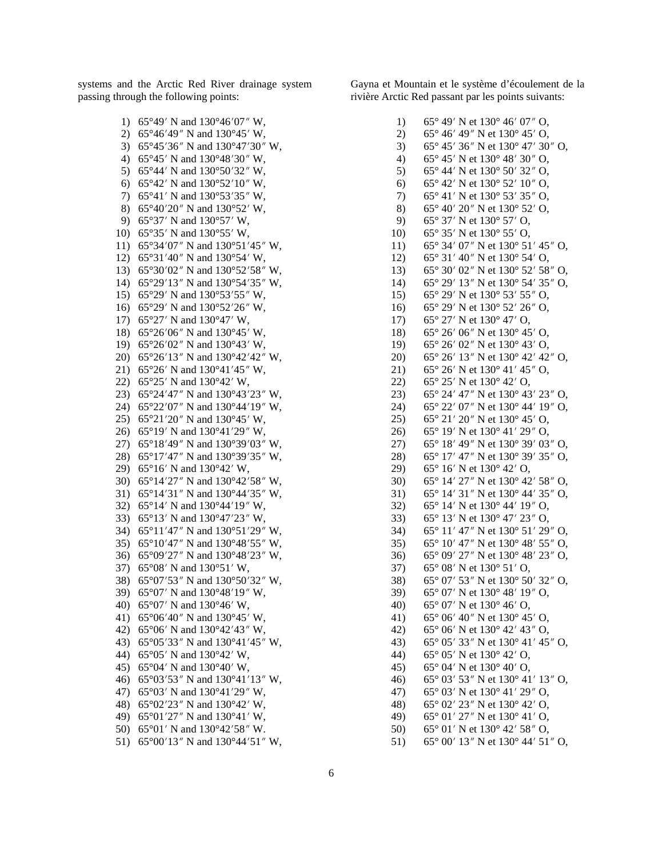systems and the Arctic Red River drainage system passing through the following points:

> 1) 65°49′ N and 130°46′07″ W, 2) 65°46′49″ N and 130°45′ W, 3) 65°45′36″ N and  $130°47'30''$  W, 4) 65°45′ N and  $130^{\circ}48'30''$  W, 5) 65°44′ N and  $130^{\circ}50'32''$  W, 6) 65°42′ N and  $130°52'10''$  W, 7) 65°41′ N and 130°53′35″ W, 8) 65°40′20″ N and 130°52′ W, 9) 65°37′ N and 130°57′ W, 10)  $65^{\circ}35'$  N and  $130^{\circ}55'$  W, 11) 65°34′07″ N and  $130°51'45''$  W, 12)  $65^{\circ}31'40''$  N and  $130^{\circ}54'$  W, 13) 65°30′02″ N and  $130^{\circ}52'58''$  W, 14)  $65^{\circ}29'13''$  N and  $130^{\circ}54'35''$  W, 15) 65°29′ N and  $130°53'55''$  W, 16) 65°29′ N and  $130°52'26''$  W, 17) 65°27′ N and 130°47′ W, 18) 65°26′06″ N and 130°45′ W, 19)  $65^{\circ}26'02''$  N and  $130^{\circ}43'$  W, 20) 65°26′13″ N and  $130°42′42″$  W, 21) 65°26′ N and  $130°41'45''$  W, 22) 65°25′ N and 130°42′ W, 23) 65°24′47″ N and  $130°43'23''$  W, 24) 65°22′07″ N and 130°44′19″ W, 25) 65°21′20″ N and 130°45′ W, 26) 65°19′ N and 130°41′29″ W, 27) 65°18′49″ N and 130°39′03″ W, 28) 65°17′47″ N and 130°39′35″ W, 29) 65°16′ N and 130°42′ W, 30) 65°14′27″ N and  $130°42'58''$  W, 31) 65°14′31″ N and 130°44′35″ W, 32) 65°14′ N and  $130°44'19''$  W, 33) 65°13′ N and  $130°47'23''$  W, 34) 65°11′47″ N and 130°51′29″ W, 35) 65°10′47″ N and 130°48′55″ W, 36) 65°09′27″ N and 130°48′23″ W, 37) 65°08′ N and 130°51′ W, 38) 65°07'53" N and 130°50'32" W, 39) 65°07′ N and 130°48′19″ W, 40) 65 $\degree$ 07' N and 130 $\degree$ 46' W, 41) 65°06′40″ N and 130°45′ W, 42) 65°06′ N and  $130^{\circ}42'43''$  W, 43) 65°05′33″ N and  $130°41'45''$  W, 44)  $65^{\circ}05'$  N and  $130^{\circ}42'$  W, 45) 65°04′ N and 130°40′ W, 46) 65°03′53″ N and  $130°41'13''$  W, 47) 65°03′ N and  $130°41'29''$  W, 48) 65°02′23″ N and 130°42′ W, 49) 65°01′27″ N and 130°41′ W, 50) 65°01′ N and  $130^{\circ}42'58''$  W. 51) 65°00′13″ N and  $130^{\circ}44'51''$  W,

8) 65° 40′ 20″ N et 130° 52′ O, 9) 65° 37′ N et 130° 57′ O, 10) 65° 35′ N et 130° 55′ O, 11) 65° 34′ 07″ N et 130° 51′ 45″ O, 12) 65° 31′ 40″ N et 130° 54′ O, 13) 65° 30′ 02″ N et 130° 52′ 58″ O, 14) 65° 29′ 13″ N et 130° 54′ 35″ O. 15) 65° 29′ N et 130° 53′ 55″ O, 16) 65° 29′ N et 130° 52′ 26″ O, 17) 65° 27′ N et 130° 47′ O, 18) 65° 26′ 06″ N et 130° 45′ O, 19) 65° 26′ 02″ N et 130° 43′ O, 20) 65° 26′ 13″ N et 130° 42′ 42″ O, 21) 65° 26′ N et  $130^{\circ}$  41′ 45″ O, 22) 65° 25′ N et 130° 42′ O, 23) 65° 24′ 47″ N et 130° 43′ 23″ O, 24) 65° 22′ 07″ N et 130° 44′ 19″ O, 25) 65° 21′ 20″ N et 130° 45′ O, 26) 65° 19′ N et 130° 41′ 29″ O, 27) 65° 18′ 49″ N et 130° 39′ 03″ O, 28) 65° 17′ 47″ N et 130° 39′ 35″ O, 29) 65° 16′ N et 130° 42′ O, 30) 65° 14′ 27″ N et 130° 42′ 58″ O, 31) 65° 14′ 31″ N et 130° 44′ 35″ O, 32) 65° 14′ N et 130° 44′ 19″ O, 33) 65° 13′ N et 130° 47′ 23″ O, 34) 65° 11′ 47″ N et 130° 51′ 29″ O, 35) 65° 10′ 47″ N et 130° 48′ 55″ O, 36) 65° 09′ 27″ N et 130° 48′ 23″ O, 37) 65° 08′ N et 130° 51′ O, 38) 65° 07′ 53″ N et 130° 50′ 32″ O, 39) 65° 07′ N et 130° 48′ 19″ O, 40) 65° 07′ N et 130° 46′ O, 41) 65° 06′ 40″ N et 130° 45′ O, 42) 65° 06′ N et  $130^{\circ}$  42′ 43″ O, 43) 65° 05′ 33″ N et 130° 41′ 45″ O, 44) 65° 05′ N et 130° 42′ O, 45) 65° 04′ N et 130° 40′ O, 46) 65° 03′ 53″ N et 130° 41′ 13″ O,

> 47) 65° 03′ N et 130° 41′ 29″ O, 48) 65° 02′ 23″ N et 130° 42′ O, 49) 65° 01′ 27″ N et 130° 41′ O, 50) 65° 01′ N et 130° 42′ 58″ O, 51) 65° 00′ 13″ N et 130° 44′ 51″ O,

Gayna et Mountain et le système d'écoulement de la rivière Arctic Red passant par les points suivants:

> 1) 65° 49′ N et 130° 46′ 07″ O, 2) 65° 46′ 49″ N et 130° 45′ O, 3) 65° 45′ 36″ N et 130° 47′ 30″ O, 4) 65° 45′ N et 130° 48′ 30″ O, 5) 65° 44′ N et 130° 50′ 32″ O, 6) 65° 42′ N et 130° 52′ 10″ O, 7) 65° 41′ N et 130° 53′ 35″ O,

6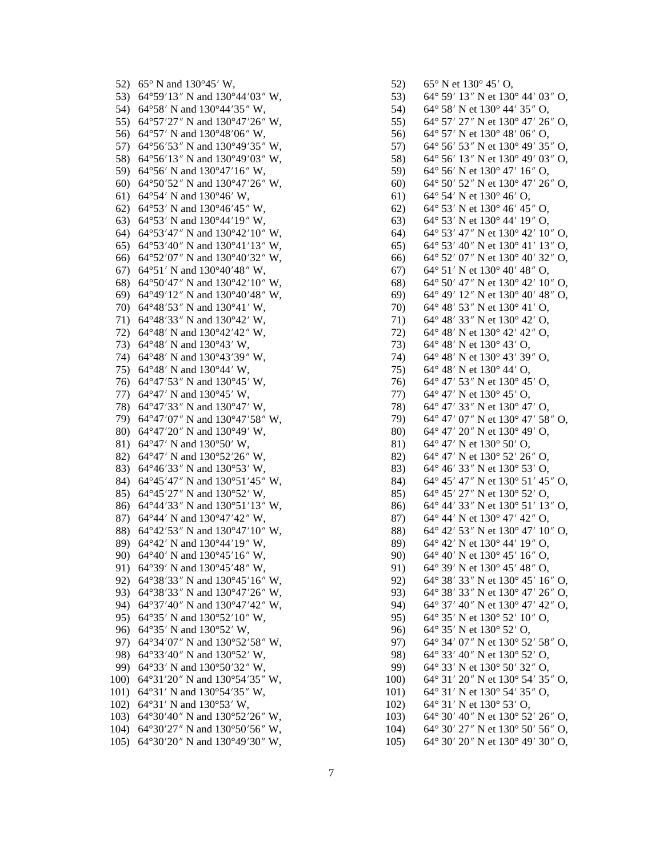52)  $65^{\circ}$  N and  $130^{\circ}45'$  W, 53) 64°59′13″ N and 130°44′03″ W, 54) 64°58′ N and 130°44′35″ W. 55) 64°57′27″ N and 130°47′26″ W, 56) 64°57′ N and 130°48′06″ W, 57) 64°56′53″ N and 130°49′35″ W, 58) 64°56'13" N and 130°49'03" W, 59) 64°56' N and 130°47'16" W, 60) 64°50′52″ N and 130°47′26″ W, 61) 64°54′ N and 130°46′ W, 62) 64°53′ N and 130°46′45″ W, 63) 64°53′ N and 130°44′ 19″ W, 64) 64°53'47" N and 130°42'10" W, 65) 64°53′40″ N and 130°41′13″ W, 66) 64°52′07″ N and 130°40′32″ W, 67) 64°51′ N and 130°40′48″ W, 68) 64°50′47″ N and 130°42′10″ W. 69) 64°49'12" N and 130°40'48" W, 70) 64°48′53″ N and 130°41′ W, 71) 64°48'33" N and 130°42' W, 72) 64°48′ N and 130°42′42″ W, 73) 64°48′ N and 130°43′ W, 74) 64°48′ N and 130°43′39″ W, 75) 64°48′ N and 130°44′ W, 76) 64°47′53″ N and 130°45′ W, 77) 64°47' N and 130°45' W, 78) 64°47′33″ N and 130°47′ W, 79) 64°47'07" N and 130°47'58" W, 80) 64°47'20" N and 130°49' W. 81)  $64^{\circ}47'$  N and  $130^{\circ}50'$  W, 82) 64°47' N and 130°52'26" W, 83) 64°46′33″ N and 130°53′ W, 84) 64°45'47" N and 130°51'45" W, 85) 64°45′27″ N and 130°52′ W, 86) 64°44'33" N and 130°51'13" W, 87) 64°44′ N and 130°47′42″ W, 88) 64°42′53″ N and 130°47′10″ W, 89) 64°42' N and 130°44'19" W. 90) 64°40′ N and 130°45′16″ W, 91) 64°39′ N and 130°45′48″ W. 92) 64°38′33″ N and 130°45′16″ W, 93) 64°38′33″ N and 130°47′26″ W, 94) 64°37'40" N and 130°47'42" W, 95) 64°35' N and 130°52'10" W, 96) 64°35′ N and 130°52′ W, 97) 64°34′07″ N and 130°52′58″ W, 98) 64°33′40″ N and 130°52′ W, 99) 64°33′ N and 130°50′32″ W, 100) 64°31′20″ N and 130°54′35″ W, 101) 64°31′ N and 130°54′35″ W, 102)  $64^{\circ}31'$  N and  $130^{\circ}53'$  W, 103)  $64^{\circ}30'40''$  N and  $130^{\circ}52'26''$  W, 104) 64°30′27″ N and 130°50′56″ W,

105) 64°30′20″ N and 130°49′30″ W,

54) 64° 58′ N et 130° 44′ 35″ O. 64° 57′ 27″ N et 130° 47′ 26″ O, 55) 64° 57′ N et 130° 48′ 06″ O. 56) 57) 64° 56′ 53″ N et 130° 49′ 35″ O, 58) 64° 56′ 13″ N et 130° 49′ 03″ O, 59) 64° 56' N et 130° 47' 16" O. 64° 50′ 52″ N et 130° 47′ 26″ O,  $60)$  $64^{\circ}$  54' N et 130 $^{\circ}$  46' O, 61)  $62)$ 64° 53' N et 130° 46' 45" O,  $63)$ 64° 53' N et 130° 44' 19" O, 64° 53' 47" N et 130° 42' 10" O, 64) 64° 53′ 40″ N et 130° 41′ 13″ O,  $65)$ 64° 52′ 07″ N et 130° 40′ 32″ O, 66) 67)  $64^{\circ}$  51' N et 130 $^{\circ}$  40' 48" O, 68)  $64^{\circ}$  50' 47" N et 130 $^{\circ}$  42' 10" O. 69) 64° 49′ 12″ N et 130° 40′ 48″ O, 70)  $64^{\circ}$  48' 53" N et 130 $^{\circ}$  41' O, 71) 64° 48′ 33″ N et 130° 42′ O.  $72)$ 64° 48′ N et 130° 42′ 42″ O, 64° 48′ N et 130° 43′ O. 73) 74) 64° 48′ N et 130° 43′ 39″ O. 64° 48′ N et 130° 44′ O, 75) 64° 47′ 53″ N et 130° 45′ O, 76) 64° 47' N et 130° 45' O. 77) 64° 47′ 33″ N et 130° 47′ O, 78) 64° 47′ 07″ N et 130° 47′ 58″ O. 79) 64° 47′ 20″ N et 130° 49′ O, 80) 81)  $64^{\circ}$  47' N et 130 $^{\circ}$  50' O, 82) 64° 47′ N et 130° 52′ 26″ O, 83) 64° 46′ 33″ N et 130° 53′ O, 64° 45′ 47″ N et 130° 51′ 45″ O, 84) 85) 64° 45′ 27″ N et 130° 52′ O, 64° 44′ 33″ N et 130° 51′ 13″ O, 86) 87) 64° 44′ N et 130° 47′ 42″ O, 88) 64° 42′ 53″ N et 130° 47′ 10″ O, 89) 64° 42′ N et 130° 44′ 19″ O. 90) 64° 40′ N et 130° 45′ 16″ O, 91) 64° 39' N et 130° 45' 48" O. 92) 64° 38′ 33″ N et 130° 45′ 16″ O, 64° 38′ 33″ N et 130° 47′ 26″ O, 93) 94) 64° 37′ 40″ N et 130° 47′ 42″ O,  $95)$ 64° 35' N et 130° 52' 10" O, 96) 64° 35′ N et 130° 52′ O, 97) 64° 34′ 07″ N et 130° 52′ 58″ O, 98) 64° 33′ 40″ N et 130° 52′ O. 64° 33' N et 130° 50' 32" O, 99) 100) 64° 31′ 20″ N et 130° 54′ 35″ O,  $101)$ 64° 31′ N et 130° 54′ 35″ O,  $102)$  $64^{\circ}$  31' N et 130 $^{\circ}$  53' O,  $103)$  $64^{\circ}$  30' 40" N et 130 $^{\circ}$  52' 26" O,

64° 30′ 27″ N et 130° 50′ 56″ O,

64° 30′ 20″ N et 130° 49′ 30″ O,

 $52)$ 

53)

 $65^{\circ}$  N et  $130^{\circ}$  45' O,

64° 59′ 13″ N et 130° 44′ 03″ O,

 $104)$ 

 $105)$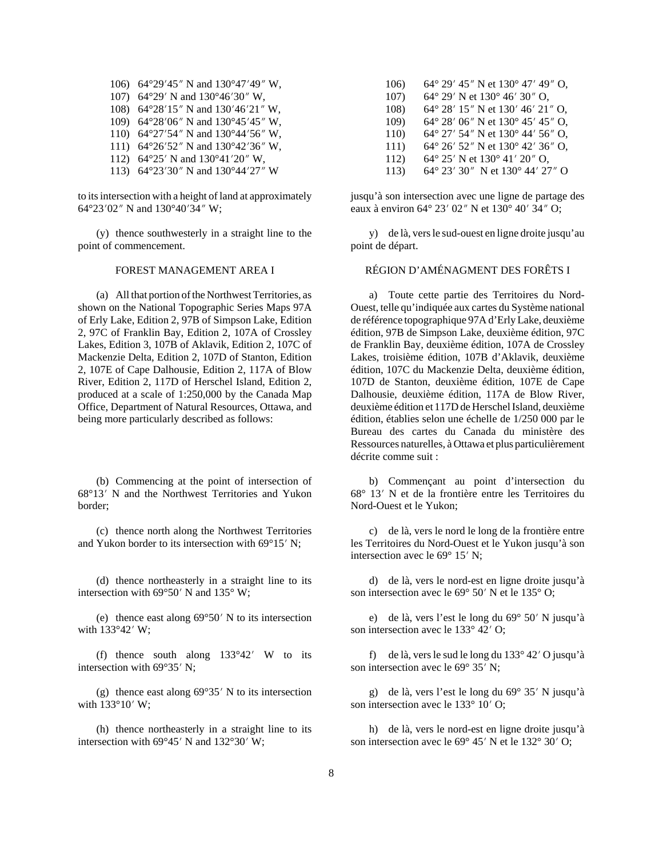106) 64°29′45″ N and 130°47′49″ W, 107) 64°29′ N and 130°46′30″ W, 108) 64°28′15″ N and 130′46′21″ W, 109) 64°28′06″ N and  $130^{\circ}45'45''$  W, 110) 64°27′54″ N and 130°44′56″ W, 111) 64°26′52″ N and 130°42′36″ W, 112) 64°25′ N and  $130°41'20''$  W, 113) 64°23′30″ N and 130°44′27″ W

to its intersection with a height of land at approximately 64°23′02″ N and 130°40′34″ W;

(y) thence southwesterly in a straight line to the point of commencement.

(a) All that portion of the Northwest Territories, as shown on the National Topographic Series Maps 97A of Erly Lake, Edition 2, 97B of Simpson Lake, Edition 2, 97C of Franklin Bay, Edition 2, 107A of Crossley Lakes, Edition 3, 107B of Aklavik, Edition 2, 107C of Mackenzie Delta, Edition 2, 107D of Stanton, Edition 2, 107E of Cape Dalhousie, Edition 2, 117A of Blow River, Edition 2, 117D of Herschel Island, Edition 2, produced at a scale of 1:250,000 by the Canada Map Office, Department of Natural Resources, Ottawa, and being more particularly described as follows:

(b) Commencing at the point of intersection of 68°13′ N and the Northwest Territories and Yukon border;

(c) thence north along the Northwest Territories and Yukon border to its intersection with  $69^{\circ}15'$  N;

(d) thence northeasterly in a straight line to its intersection with 69 $\degree$ 50' N and 135 $\degree$  W;

(e) thence east along  $69^{\circ}50'$  N to its intersection with  $133^{\circ}42'$  W;

(f) thence south along  $133^{\circ}42'$  W to its intersection with  $69^{\circ}35'$  N;

(g) thence east along  $69^{\circ}35'$  N to its intersection with  $133^{\circ}10'$  W;

(h) thence northeasterly in a straight line to its intersection with  $69^{\circ}45'$  N and  $132^{\circ}30'$  W;

- 106) 64° 29′ 45″ N et 130° 47′ 49″ O, 107) 64° 29′ N et 130° 46′ 30″ O, 108) 64° 28′ 15″ N et 130′ 46′ 21″ O. 109) 64° 28′ 06″ N et 130° 45′ 45″ O, 110) 64° 27′ 54″ N et 130° 44′ 56″ O, 111) 64° 26′ 52″ N et 130° 42′ 36″ O, 112) 64° 25′ N et 130° 41′ 20″ O,
- 113) 64° 23′ 30″ N et 130° 44′ 27″ O

jusqu'à son intersection avec une ligne de partage des eaux à environ 64° 23′ 02″ N et 130° 40′ 34″ O;

y) de là, vers le sud-ouest en ligne droite jusqu'au point de départ.

### FOREST MANAGEMENT AREA I RÉGION D'AMÉNAGMENT DES FORÊTS I

a) Toute cette partie des Territoires du Nord-Ouest, telle qu'indiquée aux cartes du Système national de référence topographique 97A d'Erly Lake, deuxième édition, 97B de Simpson Lake, deuxième édition, 97C de Franklin Bay, deuxième édition, 107A de Crossley Lakes, troisième édition, 107B d'Aklavik, deuxième édition, 107C du Mackenzie Delta, deuxième édition, 107D de Stanton, deuxième édition, 107E de Cape Dalhousie, deuxième édition, 117A de Blow River, deuxième édition et 117D de Herschel Island, deuxième édition, établies selon une échelle de 1/250 000 par le Bureau des cartes du Canada du ministère des Ressources naturelles, à Ottawa et plus particulièrement décrite comme suit :

b) Commençant au point d'intersection du 68° 13′ N et de la frontière entre les Territoires du Nord-Ouest et le Yukon;

c) de là, vers le nord le long de la frontière entre les Territoires du Nord-Ouest et le Yukon jusqu'à son intersection avec le  $69^{\circ}$  15' N;

d) de là, vers le nord-est en ligne droite jusqu'à son intersection avec le  $69^{\circ}$  50' N et le  $135^{\circ}$  O;

e) de là, vers l'est le long du  $69^{\circ}$  50' N jusqu'à son intersection avec le  $133^{\circ}$  42' O;

f) de là, vers le sud le long du  $133^{\circ}$  42' O jusqu'à son intersection avec le  $69^{\circ}$  35' N;

g) de là, vers l'est le long du  $69^{\circ}$  35' N jusqu'à son intersection avec le  $133^{\circ}$  10' O;

h) de là, vers le nord-est en ligne droite jusqu'à son intersection avec le 69° 45' N et le 132° 30' O;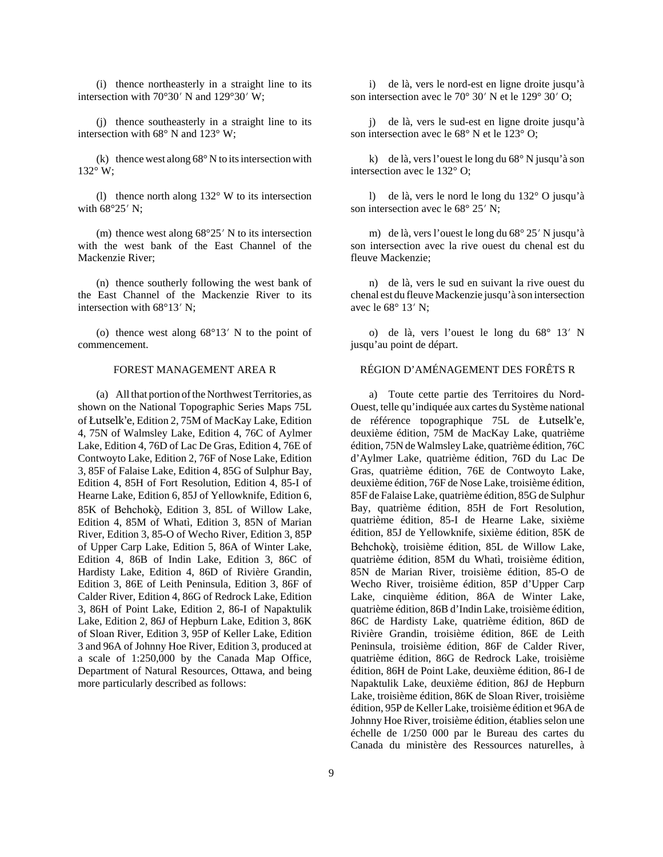(i) thence northeasterly in a straight line to its intersection with  $70^{\circ}30'$  N and  $129^{\circ}30'$  W;

(j) thence southeasterly in a straight line to its intersection with 68° N and 123° W;

(k) thence west along  $68^{\circ}$  N to its intersection with 132° W;

(l) thence north along 132° W to its intersection with  $68^{\circ}25'$  N;

(m) thence west along  $68^{\circ}25'$  N to its intersection with the west bank of the East Channel of the Mackenzie River;

(n) thence southerly following the west bank of the East Channel of the Mackenzie River to its intersection with  $68^{\circ}13'$  N;

(o) thence west along  $68^{\circ}13'$  N to the point of commencement.

(a) All that portion of the Northwest Territories, as shown on the National Topographic Series Maps 75L of Åutselk'e, Edition 2, 75M of MacKay Lake, Edition 4, 75N of Walmsley Lake, Edition 4, 76C of Aylmer Lake, Edition 4, 76D of Lac De Gras, Edition 4, 76E of Contwoyto Lake, Edition 2, 76F of Nose Lake, Edition 3, 85F of Falaise Lake, Edition 4, 85G of Sulphur Bay, Edition 4, 85H of Fort Resolution, Edition 4, 85-I of Hearne Lake, Edition 6, 85J of Yellowknife, Edition 6, 85K of Behchokö, Edition 3, 85L of Willow Lake, Edition 4, 85M of Whatì, Edition 3, 85N of Marian River, Edition 3, 85-O of Wecho River, Edition 3, 85P of Upper Carp Lake, Edition 5, 86A of Winter Lake, Edition 4, 86B of Indin Lake, Edition 3, 86C of Hardisty Lake, Edition 4, 86D of Rivière Grandin, Edition 3, 86E of Leith Peninsula, Edition 3, 86F of Calder River, Edition 4, 86G of Redrock Lake, Edition 3, 86H of Point Lake, Edition 2, 86-I of Napaktulik Lake, Edition 2, 86J of Hepburn Lake, Edition 3, 86K of Sloan River, Edition 3, 95P of Keller Lake, Edition 3 and 96A of Johnny Hoe River, Edition 3, produced at a scale of 1:250,000 by the Canada Map Office, Department of Natural Resources, Ottawa, and being more particularly described as follows:

i) de là, vers le nord-est en ligne droite jusqu'à son intersection avec le 70 $\degree$  30' N et le 129 $\degree$  30' O;

j) de là, vers le sud-est en ligne droite jusqu'à son intersection avec le 68° N et le 123° O;

k) de là, vers l'ouest le long du 68° N jusqu'à son intersection avec le 132° O;

l) de là, vers le nord le long du 132° O jusqu'à son intersection avec le  $68^{\circ}$  25' N;

m) de là, vers l'ouest le long du  $68^{\circ}$  25' N jusqu'à son intersection avec la rive ouest du chenal est du fleuve Mackenzie;

n) de là, vers le sud en suivant la rive ouest du chenal est du fleuve Mackenzie jusqu'à son intersection avec le  $68^{\circ}$  13' N;

o) de là, vers l'ouest le long du 68° 13' N jusqu'au point de départ.

### FOREST MANAGEMENT AREA R RÉGION D'AMÉNAGEMENT DES FORÊTS R

a) Toute cette partie des Territoires du Nord-Ouest, telle qu'indiquée aux cartes du Système national de référence topographique 75L de Åutselk'e, deuxième édition, 75M de MacKay Lake, quatrième édition, 75N de Walmsley Lake, quatrième édition, 76C d'Aylmer Lake, quatrième édition, 76D du Lac De Gras, quatrième édition, 76E de Contwoyto Lake, deuxième édition, 76F de Nose Lake, troisième édition, 85F de Falaise Lake, quatrième édition, 85G de Sulphur Bay, quatrième édition, 85H de Fort Resolution, quatrième édition, 85-I de Hearne Lake, sixième édition, 85J de Yellowknife, sixième édition, 85K de Behchokö, troisième édition, 85L de Willow Lake, quatrième édition, 85M du Whatì, troisième édition, 85N de Marian River, troisième édition, 85-O de Wecho River, troisième édition, 85P d'Upper Carp Lake, cinquième édition, 86A de Winter Lake, quatrième édition, 86B d'Indin Lake, troisième édition, 86C de Hardisty Lake, quatrième édition, 86D de Rivière Grandin, troisième édition, 86E de Leith Peninsula, troisième édition, 86F de Calder River, quatrième édition, 86G de Redrock Lake, troisième édition, 86H de Point Lake, deuxième édition, 86-I de Napaktulik Lake, deuxième édition, 86J de Hepburn Lake, troisième édition, 86K de Sloan River, troisième édition, 95P de Keller Lake, troisième édition et 96A de Johnny Hoe River, troisième édition, établies selon une échelle de 1/250 000 par le Bureau des cartes du Canada du ministère des Ressources naturelles, à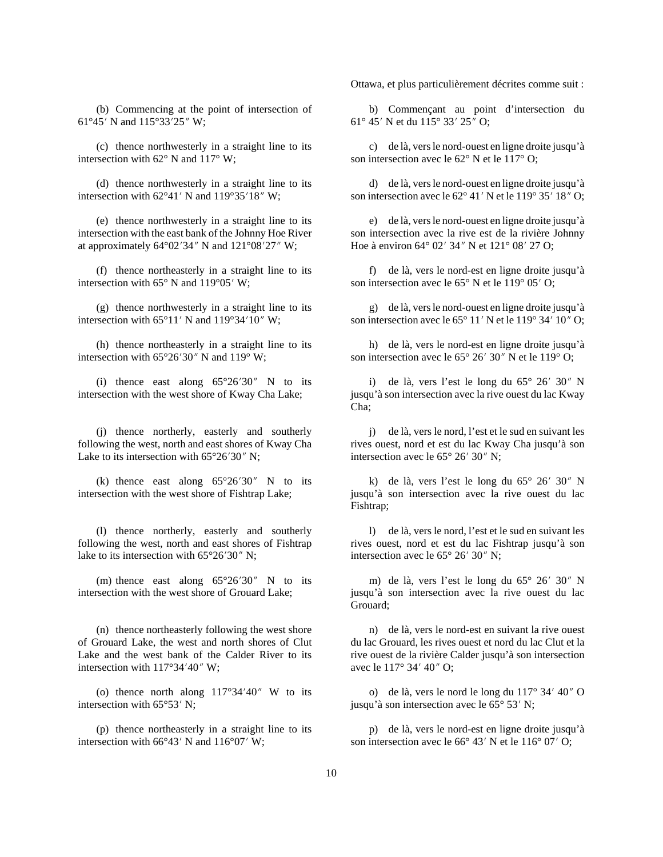(b) Commencing at the point of intersection of 61°45′ N and 115°33′ 25″ W;

(c) thence northwesterly in a straight line to its intersection with  $62^{\circ}$  N and  $117^{\circ}$  W;

(d) thence northwesterly in a straight line to its intersection with  $62^{\circ}41'$  N and  $119^{\circ}35'18''$  W;

(e) thence northwesterly in a straight line to its intersection with the east bank of the Johnny Hoe River at approximately  $64^{\circ}02'34''$  N and  $121^{\circ}08'27''$  W;

(f) thence northeasterly in a straight line to its intersection with  $65^{\circ}$  N and  $119^{\circ}05'$  W;

(g) thence northwesterly in a straight line to its intersection with  $65^{\circ}11'$  N and  $119^{\circ}34'10''$  W;

(h) thence northeasterly in a straight line to its intersection with  $65^{\circ}26'30''$  N and  $119^{\circ}$  W;

(i) thence east along  $65^{\circ}26'30''$  N to its intersection with the west shore of Kway Cha Lake;

(j) thence northerly, easterly and southerly following the west, north and east shores of Kway Cha Lake to its intersection with  $65^{\circ}26'30''$  N;

(k) thence east along  $65^{\circ}26'30''$  N to its intersection with the west shore of Fishtrap Lake;

(l) thence northerly, easterly and southerly following the west, north and east shores of Fishtrap lake to its intersection with  $65^{\circ}26'30''$  N;

(m) thence east along  $65^{\circ}26'30''$  N to its intersection with the west shore of Grouard Lake;

(n) thence northeasterly following the west shore of Grouard Lake, the west and north shores of Clut Lake and the west bank of the Calder River to its intersection with  $117^{\circ}34'40''$  W;

(o) thence north along  $117^{\circ}34'40''$  W to its intersection with  $65^{\circ}53'$  N;

(p) thence northeasterly in a straight line to its intersection with  $66^{\circ}43'$  N and  $116^{\circ}07'$  W;

Ottawa, et plus particulièrement décrites comme suit :

b) Commençant au point d'intersection du 61° 45′ N et du 115° 33′ 25″ O;

c) de là, vers le nord-ouest en ligne droite jusqu'à son intersection avec le 62° N et le 117° O;

d) de là, vers le nord-ouest en ligne droite jusqu'à son intersection avec le 62° 41′ N et le 119° 35′ 18″ O;

e) de là, vers le nord-ouest en ligne droite jusqu'à son intersection avec la rive est de la rivière Johnny Hoe à environ 64° 02′ 34″ N et 121° 08′ 27 O;

f) de là, vers le nord-est en ligne droite jusqu'à son intersection avec le  $65^{\circ}$  N et le  $119^{\circ}$  05' O;

g) de là, vers le nord-ouest en ligne droite jusqu'à son intersection avec le  $65^{\circ}$  11' N et le 119° 34' 10" O;

h) de là, vers le nord-est en ligne droite jusqu'à son intersection avec le  $65^{\circ}$  26' 30" N et le 119 $^{\circ}$  O;

i) de là, vers l'est le long du  $65^{\circ}$   $26'$   $30''$  N jusqu'à son intersection avec la rive ouest du lac Kway Cha;

j) de là, vers le nord, l'est et le sud en suivant les rives ouest, nord et est du lac Kway Cha jusqu'à son intersection avec le  $65^{\circ}$  26' 30" N;

k) de là, vers l'est le long du  $65^{\circ}$  26' 30" N jusqu'à son intersection avec la rive ouest du lac Fishtrap;

l) de là, vers le nord, l'est et le sud en suivant les rives ouest, nord et est du lac Fishtrap jusqu'à son intersection avec le  $65^{\circ}$  26' 30" N;

m) de là, vers l'est le long du  $65^{\circ}$  26' 30" N jusqu'à son intersection avec la rive ouest du lac Grouard;

n) de là, vers le nord-est en suivant la rive ouest du lac Grouard, les rives ouest et nord du lac Clut et la rive ouest de la rivière Calder jusqu'à son intersection avec le 117° 34′ 40″ O;

o) de là, vers le nord le long du  $117^{\circ}$  34' 40" O jusqu'à son intersection avec le  $65^{\circ}$  53' N;

p) de là, vers le nord-est en ligne droite jusqu'à son intersection avec le  $66^{\circ}$  43' N et le  $116^{\circ}$  07' O;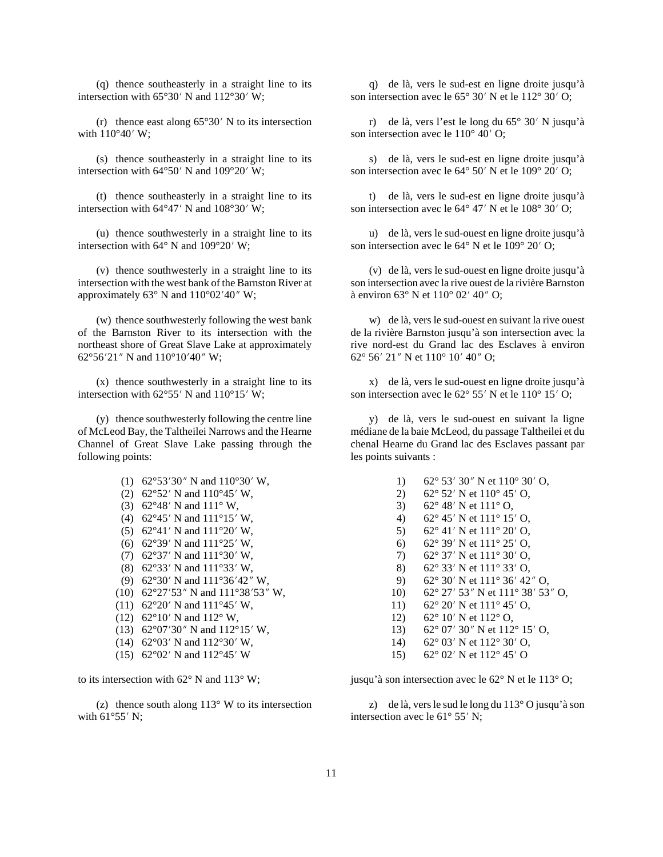(q) thence southeasterly in a straight line to its intersection with  $65^{\circ}30'$  N and  $112^{\circ}30'$  W;

(r) thence east along  $65^{\circ}30'$  N to its intersection with  $110^{\circ}40'$  W;

(s) thence southeasterly in a straight line to its intersection with  $64^{\circ}50'$  N and  $109^{\circ}20'$  W;

(t) thence southeasterly in a straight line to its intersection with  $64^{\circ}47'$  N and  $108^{\circ}30'$  W;

(u) thence southwesterly in a straight line to its intersection with  $64^{\circ}$  N and  $109^{\circ}20'$  W;

(v) thence southwesterly in a straight line to its intersection with the west bank of the Barnston River at approximately  $63^\circ$  N and  $110^\circ 02' 40''$  W;

(w) thence southwesterly following the west bank of the Barnston River to its intersection with the northeast shore of Great Slave Lake at approximately 62°56′21″ N and  $110^{\circ}10'40''$  W;

(x) thence southwesterly in a straight line to its intersection with  $62^{\circ}55'$  N and  $110^{\circ}15'$  W;

(y) thence southwesterly following the centre line of McLeod Bay, the Taltheilei Narrows and the Hearne Channel of Great Slave Lake passing through the following points:

> (1) 62°53′30″ N and  $110°30'$  W, (2) 62°52′ N and  $110^{\circ}45'$  W, (3) 62°48′ N and 111° W, (4) 62°45′ N and 111°15′ W, (5) 62°41′ N and  $111°20'$  W, (6) 62°39′ N and  $111°25'$  W, (7) 62°37′ N and  $111°30'$  W, (8) 62°33′ N and  $111°33'$  W, (9) 62°30′ N and  $111°36'42''$  W, (10) 62°27′53″ N and 111°38′53″ W, (11) 62°20′ N and  $111°45'$  W, (12) 62°10′ N and 112° W, (13) 62°07′30″ N and 112°15′ W, (14) 62°03′ N and 112°30′ W, (15) 62°02′ N and 112°45′ W

to its intersection with 62° N and 113° W;

(z) thence south along  $113^\circ$  W to its intersection with  $61^{\circ}55'$  N;

q) de là, vers le sud-est en ligne droite jusqu'à son intersection avec le  $65^{\circ}$  30' N et le  $112^{\circ}$  30' O;

r) de là, vers l'est le long du  $65^{\circ}$  30' N jusqu'à son intersection avec le  $110^{\circ}$  40' O;

s) de là, vers le sud-est en ligne droite jusqu'à son intersection avec le  $64^{\circ}$  50' N et le  $109^{\circ}$  20' O;

t) de là, vers le sud-est en ligne droite jusqu'à son intersection avec le  $64^{\circ}$  47' N et le  $108^{\circ}$  30' O;

u) de là, vers le sud-ouest en ligne droite jusqu'à son intersection avec le  $64^{\circ}$  N et le  $109^{\circ}$  20' O;

(v) de là, vers le sud-ouest en ligne droite jusqu'à son intersection avec la rive ouest de la rivière Barnston à environ  $63^{\circ}$  N et  $110^{\circ}$  02' 40" O;

w) de là, vers le sud-ouest en suivant la rive ouest de la rivière Barnston jusqu'à son intersection avec la rive nord-est du Grand lac des Esclaves à environ 62° 56′ 21″ N et 110° 10′ 40″ O;

x) de là, vers le sud-ouest en ligne droite jusqu'à son intersection avec le  $62^{\circ}$  55' N et le  $110^{\circ}$  15' O;

y) de là, vers le sud-ouest en suivant la ligne médiane de la baie McLeod, du passage Taltheilei et du chenal Hearne du Grand lac des Esclaves passant par les points suivants :

- 1) 62° 53′ 30″ N et  $110^{\circ}$  30′ O,
- 2) 62° 52′ N et 110° 45′ O,
- 3) 62° 48′ N et 111° O,
- 4) 62° 45′ N et 111° 15′ O,<br>5) 62° 41′ N et 111° 20′ O,
- $62^{\circ}$  41' N et 111 $^{\circ}$  20' O,
- 6) 62° 39′ N et  $111° 25'$  O,
- 7) 62° 37′ N et  $111°$  30′ O,
- 8) 62° 33′ N et 111° 33′ O,
- 9) 62° 30′ N et 111° 36′ 42″ O,
- 10) 62° 27′ 53″ N et 111° 38′ 53″ O,
- 11) 62° 20′ N et 111° 45′ O,
- 12) 62° 10′ N et 112° O,
- 13) 62° 07′ 30″ N et 112° 15′ O,
- 14) 62° 03′ N et 112° 30′ O,
- 15) 62° 02′ N et 112° 45′ O

jusqu'à son intersection avec le 62° N et le 113° O;

z) de là, vers le sud le long du 113° O jusqu'à son intersection avec le  $61^{\circ}$  55' N;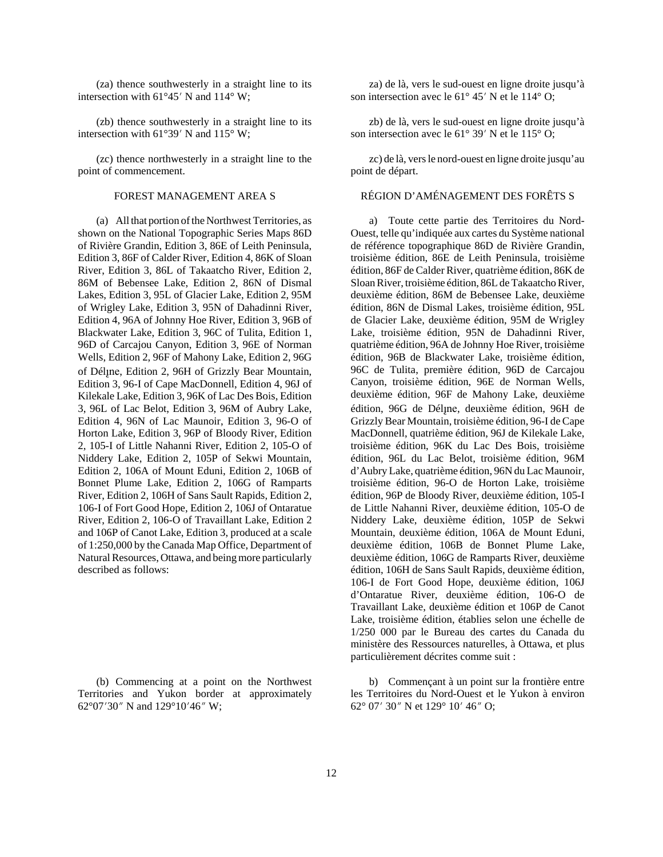(za) thence southwesterly in a straight line to its intersection with  $61^{\circ}45'$  N and  $114^{\circ}$  W;

(zb) thence southwesterly in a straight line to its intersection with  $61^{\circ}39'$  N and  $115^{\circ}$  W;

(zc) thence northwesterly in a straight line to the point of commencement.

(a) All that portion of the Northwest Territories, as shown on the National Topographic Series Maps 86D of Rivière Grandin, Edition 3, 86E of Leith Peninsula, Edition 3, 86F of Calder River, Edition 4, 86K of Sloan River, Edition 3, 86L of Takaatcho River, Edition 2, 86M of Bebensee Lake, Edition 2, 86N of Dismal Lakes, Edition 3, 95L of Glacier Lake, Edition 2, 95M of Wrigley Lake, Edition 3, 95N of Dahadinni River, Edition 4, 96A of Johnny Hoe River, Edition 3, 96B of Blackwater Lake, Edition 3, 96C of Tulita, Edition 1, 96D of Carcajou Canyon, Edition 3, 96E of Norman Wells, Edition 2, 96F of Mahony Lake, Edition 2, 96G of Délîne, Edition 2, 96H of Grizzly Bear Mountain, Edition 3, 96-I of Cape MacDonnell, Edition 4, 96J of Kilekale Lake, Edition 3, 96K of Lac Des Bois, Edition 3, 96L of Lac Belot, Edition 3, 96M of Aubry Lake, Edition 4, 96N of Lac Maunoir, Edition 3, 96-O of Horton Lake, Edition 3, 96P of Bloody River, Edition 2, 105-I of Little Nahanni River, Edition 2, 105-O of Niddery Lake, Edition 2, 105P of Sekwi Mountain, Edition 2, 106A of Mount Eduni, Edition 2, 106B of Bonnet Plume Lake, Edition 2, 106G of Ramparts River, Edition 2, 106H of Sans Sault Rapids, Edition 2, 106-I of Fort Good Hope, Edition 2, 106J of Ontaratue River, Edition 2, 106-O of Travaillant Lake, Edition 2 and 106P of Canot Lake, Edition 3, produced at a scale of 1:250,000 by the Canada Map Office, Department of Natural Resources, Ottawa, and being more particularly described as follows:

(b) Commencing at a point on the Northwest Territories and Yukon border at approximately 62°07′30″ N and 129°10′46″ W;

za) de là, vers le sud-ouest en ligne droite jusqu'à son intersection avec le  $61^{\circ}$  45' N et le 114 $^{\circ}$  O;

zb) de là, vers le sud-ouest en ligne droite jusqu'à son intersection avec le  $61^{\circ}$  39' N et le  $115^{\circ}$  O;

zc) de là, vers le nord-ouest en ligne droite jusqu'au point de départ.

### FOREST MANAGEMENT AREA S RÉGION D'AMÉNAGEMENT DES FORÊTS S

a) Toute cette partie des Territoires du Nord-Ouest, telle qu'indiquée aux cartes du Système national de référence topographique 86D de Rivière Grandin, troisième édition, 86E de Leith Peninsula, troisième édition, 86F de Calder River, quatrième édition, 86K de Sloan River, troisième édition, 86L de Takaatcho River, deuxième édition, 86M de Bebensee Lake, deuxième édition, 86N de Dismal Lakes, troisième édition, 95L de Glacier Lake, deuxième édition, 95M de Wrigley Lake, troisième édition, 95N de Dahadinni River, quatrième édition, 96A de Johnny Hoe River, troisième édition, 96B de Blackwater Lake, troisième édition, 96C de Tulita, première édition, 96D de Carcajou Canyon, troisième édition, 96E de Norman Wells, deuxième édition, 96F de Mahony Lake, deuxième édition, 96G de Délîne, deuxième édition, 96H de Grizzly Bear Mountain, troisième édition, 96-I de Cape MacDonnell, quatrième édition, 96J de Kilekale Lake, troisième édition, 96K du Lac Des Bois, troisième édition, 96L du Lac Belot, troisième édition, 96M d'Aubry Lake, quatrième édition, 96N du Lac Maunoir, troisième édition, 96-O de Horton Lake, troisième édition, 96P de Bloody River, deuxième édition, 105-I de Little Nahanni River, deuxième édition, 105-O de Niddery Lake, deuxième édition, 105P de Sekwi Mountain, deuxième édition, 106A de Mount Eduni, deuxième édition, 106B de Bonnet Plume Lake, deuxième édition, 106G de Ramparts River, deuxième édition, 106H de Sans Sault Rapids, deuxième édition, 106-I de Fort Good Hope, deuxième édition, 106J d'Ontaratue River, deuxième édition, 106-O de Travaillant Lake, deuxième édition et 106P de Canot Lake, troisième édition, établies selon une échelle de 1/250 000 par le Bureau des cartes du Canada du ministère des Ressources naturelles, à Ottawa, et plus particulièrement décrites comme suit :

b) Commençant à un point sur la frontière entre les Territoires du Nord-Ouest et le Yukon à environ 62° 07′ 30″ N et 129° 10′ 46″ O;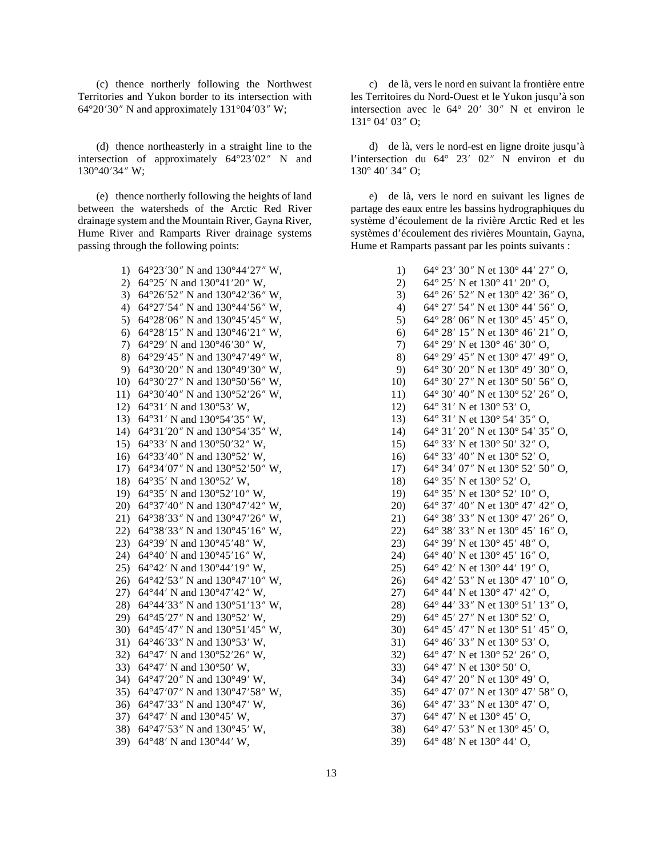(c) thence northerly following the Northwest Territories and Yukon border to its intersection with  $64^{\circ}20'30''$  N and approximately  $131^{\circ}04'03''$  W;

(d) thence northeasterly in a straight line to the intersection of approximately  $64^{\circ}23'02''$  N and  $130^{\circ}40'34''$  W;

(e) thence northerly following the heights of land between the watersheds of the Arctic Red River drainage system and the Mountain River, Gayna River, Hume River and Ramparts River drainage systems passing through the following points:

- 1) 64°23′30″ N and  $130^{\circ}44'27''$  W,
- 2) 64°25′ N and  $130°41'20''$  W, 3) 64°26′52″ N and 130°42′36″ W, 4) 64°27′54″ N and  $130^{\circ}44'56''$  W, 5) 64°28′06″ N and  $130^{\circ}45'45''$  W, 6) 64°28′15″ N and 130°46′21″ W, 7) 64°29′ N and  $130^{\circ}46'30''$  W, 8) 64°29′45″ N and  $130^{\circ}47'49''$  W, 9) 64°30′20″ N and  $130°49'30''$  W, 10) 64°30′27″ N and 130°50′56″ W, 11) 64°30′40″ N and  $130°52′26″$  W, 12)  $64^{\circ}31'$  N and  $130^{\circ}53'$  W, 13) 64°31′ N and  $130^{\circ}54'35''$  W, 14) 64°31′20″ N and 130°54′35″ W, 15) 64°33′ N and  $130^{\circ}50'32''$  W, 16) 64°33′40″ N and 130°52′ W, 17) 64°34′07″ N and 130°52′50″ W, 18) 64°35′ N and  $130°52'$  W, 19) 64°35′ N and  $130^{\circ}52'10''$  W, 20) 64°37′40″ N and  $130°47′42″$  W, 21) 64°38′33″ N and  $130°47′26″$  W, 22) 64°38′33″ N and  $130^{\circ}45'16''$  W, 23) 64°39′ N and  $130°45'48''$  W, 24) 64°40′ N and  $130^{\circ}45'16''$  W, 25) 64°42′ N and  $130°44′19″$  W, 26) 64°42′53″ N and  $130^{\circ}47'10''$  W, 27) 64°44′ N and  $130^{\circ}47'42''$  W, 28) 64°44′33″ N and 130°51′13″ W, 29) 64°45'27" N and 130°52' W, 30) 64°45′47″ N and  $130°51'45''$  W, 31) 64°46′33″ N and 130°53′ W, 32) 64°47′ N and  $130^{\circ}52'26''$  W, 33) 64°47′ N and  $130°50'$  W, 34) 64°47′20″ N and 130°49′ W, 35) 64°47′07″ N and 130°47′58″ W, 36) 64°47′33″ N and  $130°47'$  W, 37) 64°47′ N and  $130^{\circ}45'$  W, 38) 64°47′53″ N and  $130°45'$  W,
- 39) 64°48′ N and  $130^{\circ}44'$  W,

c) de là, vers le nord en suivant la frontière entre les Territoires du Nord-Ouest et le Yukon jusqu'à son intersection avec le  $64^{\circ}$  20' 30" N et environ le  $131^\circ 04' 03''$  O;

d) de là, vers le nord-est en ligne droite jusqu'à l'intersection du  $64^{\circ}$  23' 02" N environ et du  $130^{\circ}$  40' 34" O:

e) de là, vers le nord en suivant les lignes de partage des eaux entre les bassins hydrographiques du système d'écoulement de la rivière Arctic Red et les systèmes d'écoulement des rivières Mountain, Gayna, Hume et Ramparts passant par les points suivants :

> 1) 64° 23′ 30″ N et 130° 44′ 27″ O, 2) 64° 25′ N et  $130^{\circ}$  41′ 20″ O, 3) 64° 26′ 52″ N et 130° 42′ 36″ O, 4) 64° 27′ 54″ N et  $130^{\circ}$  44′ 56″ O, 5) 64° 28′ 06″ N et  $130^{\circ}$  45′ 45″ O, 6) 64° 28′ 15″ N et 130° 46′ 21″ O, 7) 64° 29′ N et  $130^{\circ}$  46′ 30″ O, 8) 64° 29′ 45″ N et 130° 47′ 49″ O, 9) 64° 30′ 20″ N et  $130^{\circ}$  49′ 30″ O, 10) 64° 30′ 27″ N et 130° 50′ 56″ O, 11) 64° 30′ 40″ N et 130° 52′ 26″ O, 12) 64° 31′ N et 130° 53′ O, 13) 64° 31′ N et 130° 54′ 35″ O, 14) 64° 31′ 20″ N et 130° 54′ 35″ O, 15) 64° 33′ N et 130° 50′ 32″ O, 16) 64° 33′ 40″ N et 130° 52′ O, 17) 64° 34′ 07″ N et 130° 52′ 50″ O, 18) 64° 35′ N et 130° 52′ O, 19) 64° 35′ N et 130° 52′ 10″ O, 20) 64° 37′ 40″ N et 130° 47′ 42″ O, 21) 64° 38′ 33″ N et 130° 47′ 26″ O, 22) 64° 38′ 33″ N et 130° 45′ 16″ O, 23) 64° 39′ N et  $130^{\circ}$  45′ 48″ O. 24) 64° 40′ N et  $130^{\circ}$  45′ 16″ O, 25) 64° 42′ N et 130° 44′ 19″ O, 26) 64° 42′ 53″ N et 130° 47′ 10″ O, 27) 64° 44′ N et  $130^{\circ}$  47′ 42″ O, 28) 64° 44′ 33″ N et 130° 51′ 13″ O, 29) 64° 45′ 27″ N et 130° 52′ O, 30) 64° 45′ 47″ N et 130° 51′ 45″ O, 31) 64° 46′ 33″ N et 130° 53′ O, 32) 64° 47′ N et 130° 52′ 26″ O, 33) 64° 47′ N et 130° 50′ O, 34) 64° 47′ 20″ N et 130° 49′ O, 35) 64° 47′ 07″ N et  $130^{\circ}$  47′ 58″ O, 36) 64° 47′ 33″ N et 130° 47′ O, 37) 64° 47′ N et  $130^{\circ}$  45′ O, 38) 64° 47′ 53″ N et 130° 45′ O, 39) 64° 48′ N et  $130^{\circ}$  44′ O,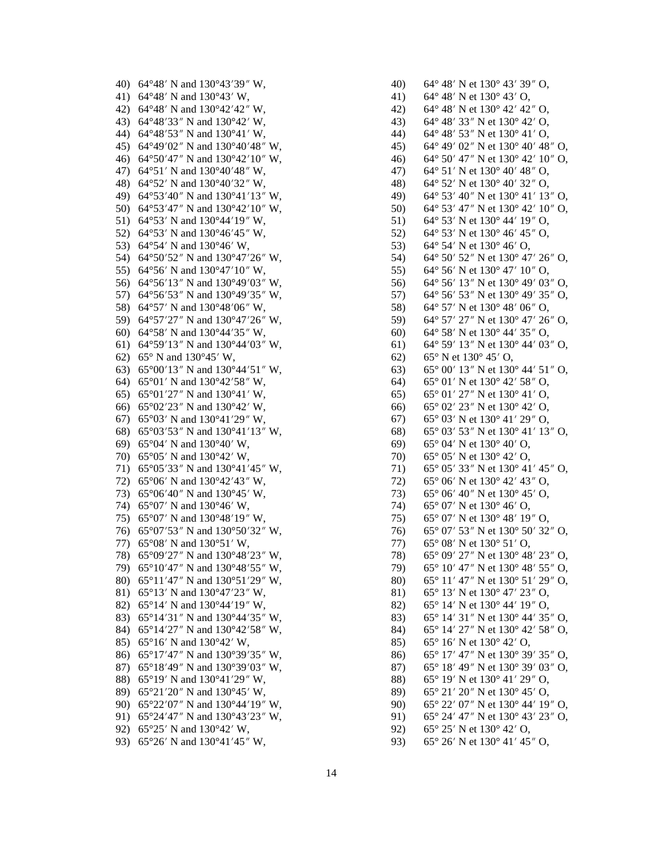40) 64°48′ N and 130°43′39″ W, 41) 64°48′ N and 130°43′ W. 42) 64°48′ N and 130°42′42″ W. 43) 64°48′33″ N and 130°42′ W, 44) 64°48′53″ N and 130°41′ W. 45) 64°49′02″ N and 130°40′48″ W, 46) 64°50'47" N and 130°42'10" W, 47) 64°51′ N and 130°40′48″ W, 48) 64°52′ N and 130°40′32″ W, 49) 64°53'40" N and 130°41'13" W, 50) 64°53′47″ N and  $130^{\circ}42'10''$  W, 51) 64°53′ N and 130°44′ 19″ W, 52) 64°53′ N and 130°46′45″ W, 53)  $64^{\circ}54'$  N and  $130^{\circ}46'$  W. 54) 64°50′52″ N and 130°47′26″ W, 55) 64°56′ N and 130°47′ 10″ W, 56) 64°56'13" N and 130°49'03" W. 57) 64°56′53″ N and 130°49′35″ W, 58) 64°57′ N and 130°48′06″ W, 59) 64°57'27" N and 130°47'26" W, 60) 64°58′ N and 130°44′35″ W, 61) 64°59′13″ N and 130°44′03″ W, 62) 65° N and 130°45′ W. 63) 65°00'13" N and 130°44'51" W, 64) 65°01′ N and 130°42′58″ W, 65) 65 $^{\circ}$ 01'27" N and 130 $^{\circ}$ 41' W, 66)  $65^{\circ}02'23''$  N and  $130^{\circ}42'$  W, 67) 65°03′ N and 130°41′29″ W, 68)  $65^{\circ}03'53''$  N and  $130^{\circ}41'13''$  W. 69) 65 $^{\circ}$ 04' N and 130 $^{\circ}$ 40' W, 70)  $65^{\circ}05'$  N and  $130^{\circ}42'$  W, 71) 65°05′33″ N and 130°41′45″ W, 72) 65°06' N and 130°42'43" W, 73)  $65^{\circ}06'40''$  N and  $130^{\circ}45'$  W, 74) 65°07' N and 130°46' W. 75) 65°07' N and 130°48'19" W, 76) 65°07'53" N and 130°50'32" W, 77)  $65^{\circ}08'$  N and  $130^{\circ}51'$  W. 78) 65°09'27" N and 130°48'23" W, 79) 65°10′47″ N and 130°48′55″ W. 80) 65°11′47″ N and 130°51′29″ W, 81) 65°13′ N and 130°47′23″ W, 82) 65°14′ N and 130°44′19″ W, 83) 65°14′31″ N and 130°44′35″ W, 84) 65°14'27" N and 130°42'58" W, 85) 65°16′ N and 130°42′ W, 86) 65°17'47" N and 130°39'35" W, 87) 65°18'49" N and 130°39'03" W, 88) 65°19′ N and 130°41′29″ W, 89) 65°21′20″ N and 130°45′ W, 90) 65°22′07″ N and 130°44′19″ W, 91)  $65^{\circ}24'47''$  N and  $130^{\circ}43'23''$  W, 92) 65°25′ N and 130°42′ W, 93) 65°26' N and 130°41'45" W,

 $42)$ 64° 48′ N et 130° 42′ 42″ O. 64° 48′ 33″ N et 130° 42′ O, 43)  $64^{\circ}$  48' 53" N et 130 $^{\circ}$  41' O, 44)  $45)$  $64^{\circ}$  49' 02" N et 130 $^{\circ}$  40' 48" O. 46) 64° 50′ 47″ N et 130° 42′ 10″ O,  $47)$ 64° 51′ N et 130° 40′ 48″ O. 64° 52′ N et 130° 40′ 32″ O, 48) 64° 53' 40" N et 130° 41' 13" O, 49) 50) 64° 53′ 47″ N et 130° 42′ 10″ O,  $51)$ 64° 53' N et 130° 44' 19" O. 64° 53' N et 130° 46' 45" O,  $52)$  $64^{\circ}$  54' N et 130 $^{\circ}$  46' O, 53)  $54)$ 64° 50′ 52″ N et 130° 47′ 26″ O, 55) 64° 56' N et 130° 47' 10" O. 56) 64° 56′ 13″ N et 130° 49′ 03″ O. 57) 64° 56′ 53″ N et 130° 49′ 35″ O, 58)  $64^{\circ}$  57' N et 130 $^{\circ}$  48' 06" O, 59) 64° 57′ 27″ N et 130° 47′ 26″ O,  $60)$ 64° 58′ N et 130° 44′ 35″ O, 64° 59′ 13″ N et 130° 44′ 03″ O. 61)  $62)$  $65^{\circ}$  N et  $130^{\circ}$  45' O, 65° 00′ 13″ N et 130° 44′ 51″ O, 63)  $65^{\circ}$  01' N et 130 $^{\circ}$  42' 58" O, 64) 65° 01′ 27″ N et 130° 41′ O.  $65)$  $65^{\circ}$  02' 23" N et 130° 42' O, 66)  $67)$  $65^{\circ}$  03' N et 130 $^{\circ}$  41' 29" O, 68)  $65^{\circ}$  03' 53" N et 130° 41' 13" O, 69)  $65^{\circ}$  04' N et 130 $^{\circ}$  40' O, 70)  $65^{\circ}$  05' N et 130 $^{\circ}$  42' O, 71) 65° 05′ 33″ N et 130° 41′ 45″ O, 65° 06' N et 130° 42' 43" O,  $72)$ 73)  $65^{\circ}$  06' 40" N et 130° 45' O,  $74)$  $65^{\circ}$  07' N et 130 $^{\circ}$  46' O. 65° 07' N et 130° 48' 19" O, 75) 76) 65° 07′ 53″ N et 130° 50′ 32″ O, 77)  $65^{\circ}$  08' N et 130 $^{\circ}$  51' O. 65° 09′ 27″ N et 130° 48′ 23″ O, 78) 79)  $65^{\circ}$  10' 47" N et 130° 48' 55" O.  $65^{\circ}$  11' 47" N et 130 $^{\circ}$  51' 29" O, 80) 81)  $65^{\circ}$  13' N et 130 $^{\circ}$  47' 23" O, 82) 65° 14' N et 130° 44' 19" O, 83) 65° 14′ 31″ N et 130° 44′ 35″ O, 84) 65° 14′ 27″ N et 130° 42′ 58″ O, 85) 65° 16′ N et 130° 42′ O, 86) 65° 17′ 47″ N et 130° 39′ 35″ O, 65° 18′ 49″ N et 130° 39′ 03″ O, 87) 65° 19′ N et 130° 41′ 29″ O, 88)

65° 21′ 20″ N et 130° 45′ O,

 $65^{\circ}$  26' N et 130 $^{\circ}$  41' 45" O,

 $65^{\circ}$  25' N et 130 $^{\circ}$  42' O,

65° 22′ 07″ N et 130° 44′ 19″ O,

 $65^{\circ}$  24' 47" N et 130 $^{\circ}$  43' 23" O,

64° 48′ N et 130° 43′ 39″ O,

 $64^{\circ}$  48' N et 130 $^{\circ}$  43' O,

 $40)$ 

41)

89)

 $90<sub>0</sub>$ 

91)

92)

93)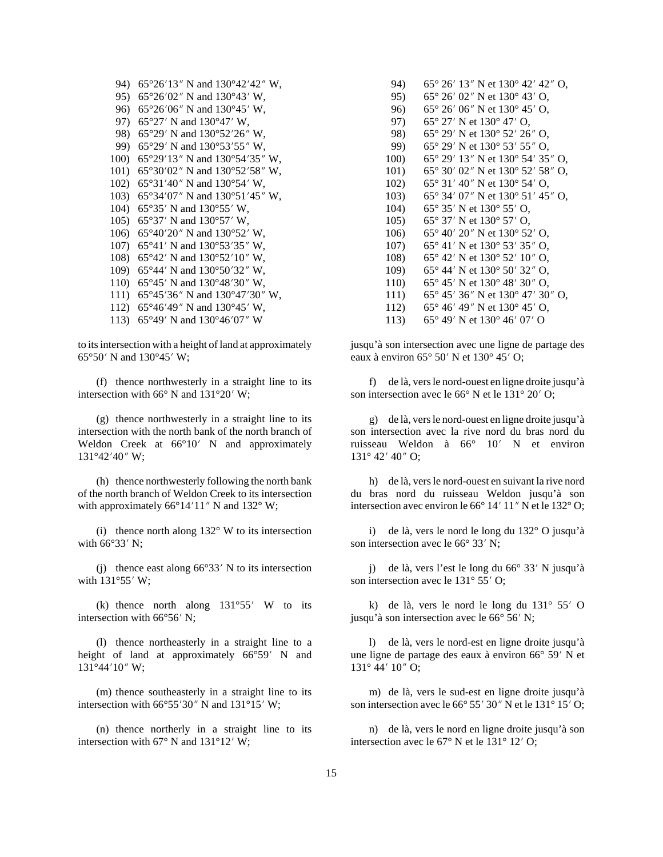94) 65°26'13" N and 130°42'42" W, 95)  $65^{\circ}26'02''$  N and  $130^{\circ}43'$  W, 96) 65°26′06″ N and 130°45′ W, 97) 65°27′ N and 130°47′ W, 98) 65°29′ N and 130°52′26″ W, 99) 65°29′ N and 130°53′55″ W, 100) 65°29'13" N and 130°54'35" W, 101) 65°30′02″ N and 130°52′58″ W, 102) 65°31'40" N and 130°54' W, 103) 65°34′07″ N and 130°51′45″ W, 104) 65°35' N and 130°55' W, 105)  $65^{\circ}37'$  N and  $130^{\circ}57'$  W, 106) 65°40'20" N and 130°52' W, 107) 65°41' N and 130°53'35" W. 108) 65°42' N and 130°52'10" W, 109) 65°44' N and 130°50'32" W, 110)  $65^{\circ}45'$  N and  $130^{\circ}48'30''$  W. 111) 65°45'36" N and 130°47'30" W, 112) 65°46'49" N and 130°45' W, 113) 65°49' N and 130°46'07" W

to its intersection with a height of land at approximately  $65^{\circ}50'$  N and  $130^{\circ}45'$  W;

(f) thence northwesterly in a straight line to its intersection with  $66^{\circ}$  N and  $131^{\circ}20'$  W;

(g) thence northwesterly in a straight line to its intersection with the north bank of the north branch of Weldon Creek at 66°10′ N and approximately  $131^{\circ}42'40''$  W;

(h) thence northwesterly following the north bank of the north branch of Weldon Creek to its intersection with approximately  $66^{\circ}14'11''$  N and  $132^{\circ}$  W;

(i) thence north along  $132^{\circ}$  W to its intersection with  $66^{\circ}33'$  N:

(i) thence east along  $66^{\circ}33'$  N to its intersection with  $131°55'$  W;

(k) thence north along  $131^{\circ}55'$  W to its intersection with 66°56' N:

(1) thence northeasterly in a straight line to a height of land at approximately 66°59' N and  $131^{\circ}44'10''$  W;

(m) thence southeasterly in a straight line to its intersection with  $66^{\circ}55'30''$  N and  $131^{\circ}15'$  W;

(n) thence northerly in a straight line to its intersection with  $67^{\circ}$  N and  $131^{\circ}12'$  W;

94) 65° 26′ 13″ N et 130° 42′ 42″ O, 95)  $65^{\circ}$  26' 02" N et 130 $^{\circ}$  43' O, 65° 26′ 06″ N et 130° 45′ O, 96)  $65^{\circ}$  27' N et 130 $^{\circ}$  47' O, 97) 65° 29′ N et 130° 52′ 26″ O. 98) 99) 65° 29′ N et 130° 53′ 55″ O, 100) 65° 29′ 13″ N et 130° 54′ 35″ O, 101) 65° 30′ 02″ N et 130° 52′ 58″ O, 65° 31′ 40″ N et 130° 54′ O, 102) 65° 34′ 07″ N et 130° 51′ 45″ O,  $103)$ 104)  $65^{\circ}$  35' N et 130 $^{\circ}$  55' O,  $105)$ 65° 37′ N et 130° 57′ O, 65° 40′ 20″ N et 130° 52′ O, 106)  $107)$ 65° 41′ N et 130° 53′ 35″ O, 108) 65° 42′ N et 130° 52′ 10″ O. 109) 65° 44′ N et 130° 50′ 32″ O. 110) 65° 45′ N et 130° 48′ 30″ O.  $111)$ 65° 45′ 36″ N et 130° 47′ 30″ O, 112) 65° 46′ 49″ N et 130° 45′ O.

 $113)$ 65° 49′ N et 130° 46′ 07′ O

jusqu'à son intersection avec une ligne de partage des eaux à environ  $65^{\circ} 50'$  N et  $130^{\circ} 45'$  O;

f) de là, vers le nord-ouest en ligne droite jusqu'à son intersection avec le 66° N et le 131° 20′ O;

g) de là, vers le nord-ouest en ligne droite jusqu'à son intersection avec la rive nord du bras nord du ruisseau Weldon à 66° 10' N et environ 131° 42' 40" O;

h) de là, vers le nord-ouest en suivant la rive nord du bras nord du ruisseau Weldon jusqu'à son intersection avec environ le 66° 14' 11" N et le 132° O;

i) de là, vers le nord le long du 132° O jusqu'à son intersection avec le 66° 33' N:

i) de là, vers l'est le long du 66° 33' N jusqu'à son intersection avec le 131° 55′ O;

k) de là, vers le nord le long du  $131^\circ$  55' O jusqu'à son intersection avec le 66° 56′ N;

1) de là, vers le nord-est en ligne droite jusqu'à une ligne de partage des eaux à environ 66° 59′ N et  $131^\circ$  44'  $10''$  O;

m) de là, vers le sud-est en ligne droite jusqu'à son intersection avec le 66° 55′ 30″ N et le 131° 15′ O;

n) de là, vers le nord en ligne droite jusqu'à son intersection avec le 67° N et le 131° 12′ O;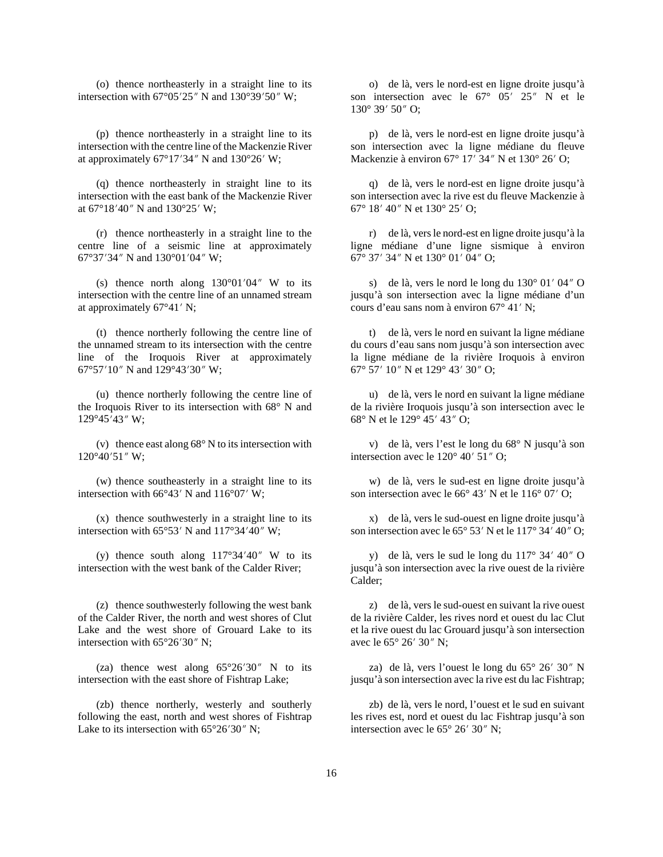(o) thence northeasterly in a straight line to its intersection with  $67^{\circ}05'25''$  N and  $130^{\circ}39'50''$  W;

(p) thence northeasterly in a straight line to its intersection with the centre line of the Mackenzie River at approximately  $67^{\circ}17'34''$  N and  $130^{\circ}26'$  W;

(q) thence northeasterly in straight line to its intersection with the east bank of the Mackenzie River at  $67^{\circ}18'40''$  N and  $130^{\circ}25'$  W;

(r) thence northeasterly in a straight line to the centre line of a seismic line at approximately 67°37′34″ N and 130°01′04″ W;

(s) thence north along  $130^{\circ}01'04''$  W to its intersection with the centre line of an unnamed stream at approximately  $67^{\circ}41'$  N;

(t) thence northerly following the centre line of the unnamed stream to its intersection with the centre line of the Iroquois River at approximately 67°57'10" N and 129°43'30" W;

(u) thence northerly following the centre line of the Iroquois River to its intersection with 68° N and  $129^{\circ}45'43''$  W;

(v) thence east along 68° N to its intersection with  $120^{\circ}40'51''$  W;

(w) thence southeasterly in a straight line to its intersection with  $66^{\circ}43'$  N and  $116^{\circ}07'$  W;

(x) thence southwesterly in a straight line to its intersection with  $65^{\circ}53'$  N and  $117^{\circ}34'40''$  W;

(y) thence south along  $117^{\circ}34'40''$  W to its intersection with the west bank of the Calder River;

(z) thence southwesterly following the west bank of the Calder River, the north and west shores of Clut Lake and the west shore of Grouard Lake to its intersection with  $65^{\circ}26'30''$  N;

(za) thence west along  $65^{\circ}26'30''$  N to its intersection with the east shore of Fishtrap Lake;

(zb) thence northerly, westerly and southerly following the east, north and west shores of Fishtrap Lake to its intersection with  $65^{\circ}26'30''$  N;

o) de là, vers le nord-est en ligne droite jusqu'à son intersection avec le  $67^{\circ}$   $05'$   $25''$  N et le  $130^{\circ}$  39' 50" O;

p) de là, vers le nord-est en ligne droite jusqu'à son intersection avec la ligne médiane du fleuve Mackenzie à environ 67° 17′ 34″ N et 130° 26′ O;

q) de là, vers le nord-est en ligne droite jusqu'à son intersection avec la rive est du fleuve Mackenzie à 67° 18′ 40″ N et 130° 25′ O;

r) de là, vers le nord-est en ligne droite jusqu'à la ligne médiane d'une ligne sismique à environ 67° 37′ 34″ N et 130° 01′ 04″ O;

s) de là, vers le nord le long du  $130^{\circ}$  01' 04" O jusqu'à son intersection avec la ligne médiane d'un cours d'eau sans nom à environ  $67^{\circ}$  41' N;

t) de là, vers le nord en suivant la ligne médiane du cours d'eau sans nom jusqu'à son intersection avec la ligne médiane de la rivière Iroquois à environ 67° 57′ 10″ N et 129° 43′ 30″ O;

u) de là, vers le nord en suivant la ligne médiane de la rivière Iroquois jusqu'à son intersection avec le 68 $\degree$  N et le 129 $\degree$  45' 43" O;

v) de là, vers l'est le long du 68° N jusqu'à son intersection avec le  $120^{\circ}$  40' 51" O;

w) de là, vers le sud-est en ligne droite jusqu'à son intersection avec le  $66^{\circ}$  43' N et le  $116^{\circ}$  07' O;

x) de là, vers le sud-ouest en ligne droite jusqu'à son intersection avec le  $65^{\circ}$  53' N et le  $117^{\circ}$  34' 40" O;

y) de là, vers le sud le long du  $117^{\circ}$  34' 40" O jusqu'à son intersection avec la rive ouest de la rivière Calder;

z) de là, vers le sud-ouest en suivant la rive ouest de la rivière Calder, les rives nord et ouest du lac Clut et la rive ouest du lac Grouard jusqu'à son intersection avec le 65° 26′ 30″ N;

za) de là, vers l'ouest le long du  $65^{\circ}$  26' 30" N jusqu'à son intersection avec la rive est du lac Fishtrap;

zb) de là, vers le nord, l'ouest et le sud en suivant les rives est, nord et ouest du lac Fishtrap jusqu'à son intersection avec le  $65^{\circ}$  26' 30" N;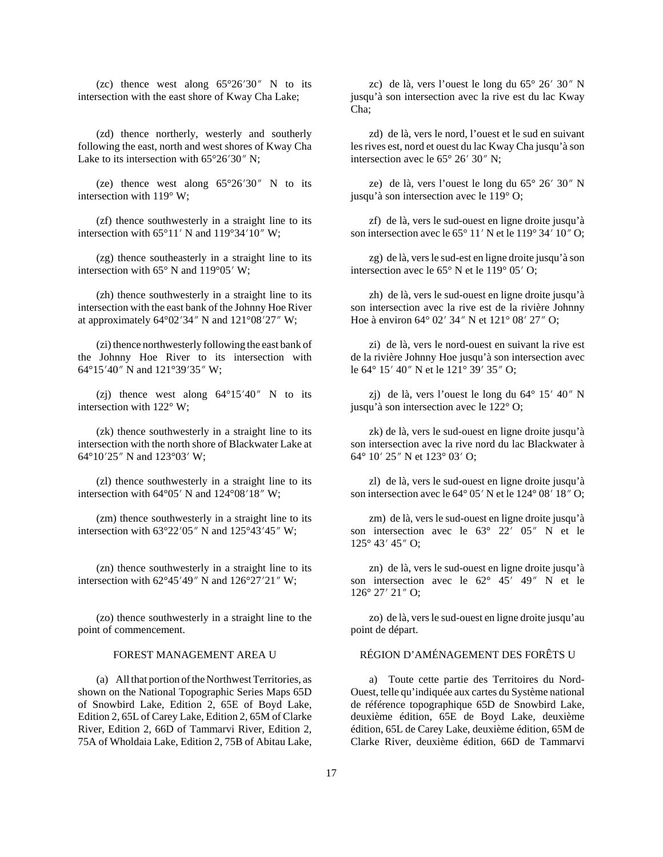(zc) thence west along  $65^{\circ}26'30''$  N to its intersection with the east shore of Kway Cha Lake;

(zd) thence northerly, westerly and southerly following the east, north and west shores of Kway Cha Lake to its intersection with  $65^{\circ}26'30''$  N;

(ze) thence west along  $65^{\circ}26'30''$  N to its intersection with 119° W;

(zf) thence southwesterly in a straight line to its intersection with  $65^{\circ}11'$  N and  $119^{\circ}34'10''$  W;

(zg) thence southeasterly in a straight line to its intersection with  $65^{\circ}$  N and  $119^{\circ}05'$  W;

(zh) thence southwesterly in a straight line to its intersection with the east bank of the Johnny Hoe River at approximately  $64^{\circ}02'34''$  N and  $121^{\circ}08'27''$  W;

(zi) thence northwesterly following the east bank of the Johnny Hoe River to its intersection with 64°15'40" N and 121°39'35" W;

(zj) thence west along  $64^{\circ}15'40''$  N to its intersection with 122° W;

(zk) thence southwesterly in a straight line to its intersection with the north shore of Blackwater Lake at 64°10′25″ N and 123°03′ W;

(zl) thence southwesterly in a straight line to its intersection with  $64^{\circ}05'$  N and  $124^{\circ}08'18''$  W;

(zm) thence southwesterly in a straight line to its intersection with  $63^{\circ}22'05''$  N and  $125^{\circ}43'45''$  W;

(zn) thence southwesterly in a straight line to its intersection with  $62^{\circ}45'49''$  N and  $126^{\circ}27'21''$  W;

(zo) thence southwesterly in a straight line to the point of commencement.

(a) All that portion of the Northwest Territories, as shown on the National Topographic Series Maps 65D of Snowbird Lake, Edition 2, 65E of Boyd Lake, Edition 2, 65L of Carey Lake, Edition 2, 65M of Clarke River, Edition 2, 66D of Tammarvi River, Edition 2, 75A of Wholdaia Lake, Edition 2, 75B of Abitau Lake,

zc) de là, vers l'ouest le long du  $65^{\circ}$  26' 30" N jusqu'à son intersection avec la rive est du lac Kway Cha;

zd) de là, vers le nord, l'ouest et le sud en suivant les rives est, nord et ouest du lac Kway Cha jusqu'à son intersection avec le  $65^{\circ}$  26' 30" N;

ze) de là, vers l'ouest le long du  $65^{\circ}$  26' 30" N jusqu'à son intersection avec le 119° O;

zf) de là, vers le sud-ouest en ligne droite jusqu'à son intersection avec le  $65^{\circ}$  11' N et le 119° 34' 10" O;

zg) de là, vers le sud-est en ligne droite jusqu'à son intersection avec le  $65^{\circ}$  N et le  $119^{\circ}$  05' O;

zh) de là, vers le sud-ouest en ligne droite jusqu'à son intersection avec la rive est de la rivière Johnny Hoe à environ  $64^{\circ}$  02' 34" N et 121° 08' 27" O;

zi) de là, vers le nord-ouest en suivant la rive est de la rivière Johnny Hoe jusqu'à son intersection avec le 64° 15′ 40″ N et le 121° 39′ 35″ O;

zj) de là, vers l'ouest le long du  $64^{\circ}$  15' 40" N jusqu'à son intersection avec le 122° O;

zk) de là, vers le sud-ouest en ligne droite jusqu'à son intersection avec la rive nord du lac Blackwater à 64° 10′ 25″ N et 123° 03′ O;

zl) de là, vers le sud-ouest en ligne droite jusqu'à son intersection avec le 64° 05' N et le 124° 08' 18" O;

zm) de là, vers le sud-ouest en ligne droite jusqu'à son intersection avec le  $63^{\circ}$   $22'$   $05''$  N et le  $125^{\circ}$  43' 45" O;

zn) de là, vers le sud-ouest en ligne droite jusqu'à son intersection avec le  $62^{\circ}$  45' 49" N et le  $126^{\circ}$  27' 21" O;

zo) de là, vers le sud-ouest en ligne droite jusqu'au point de départ.

### FOREST MANAGEMENT AREA U RÉGION D'AMÉNAGEMENT DES FORÊTS U

a) Toute cette partie des Territoires du Nord-Ouest, telle qu'indiquée aux cartes du Système national de référence topographique 65D de Snowbird Lake, deuxième édition, 65E de Boyd Lake, deuxième édition, 65L de Carey Lake, deuxième édition, 65M de Clarke River, deuxième édition, 66D de Tammarvi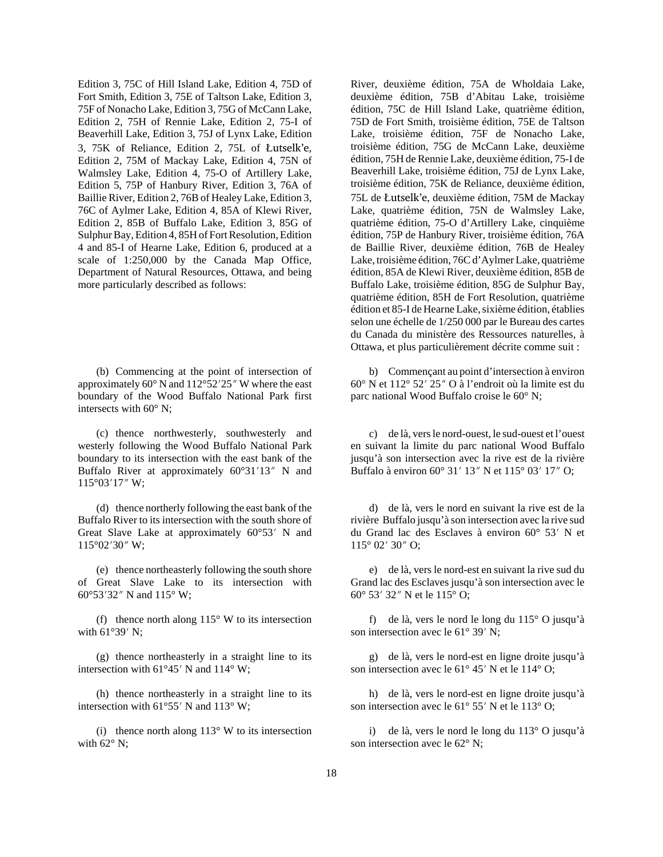Edition 3, 75C of Hill Island Lake, Edition 4, 75D of Fort Smith, Edition 3, 75E of Taltson Lake, Edition 3, 75F of Nonacho Lake, Edition 3, 75G of McCann Lake, Edition 2, 75H of Rennie Lake, Edition 2, 75-I of Beaverhill Lake, Edition 3, 75J of Lynx Lake, Edition 3, 75K of Reliance, Edition 2, 75L of Åutselk'e, Edition 2, 75M of Mackay Lake, Edition 4, 75N of Walmsley Lake, Edition 4, 75-O of Artillery Lake, Edition 5, 75P of Hanbury River, Edition 3, 76A of Baillie River, Edition 2, 76B of Healey Lake, Edition 3, 76C of Aylmer Lake, Edition 4, 85A of Klewi River, Edition 2, 85B of Buffalo Lake, Edition 3, 85G of Sulphur Bay, Edition 4, 85H of Fort Resolution, Edition 4 and 85-I of Hearne Lake, Edition 6, produced at a scale of 1:250,000 by the Canada Map Office, Department of Natural Resources, Ottawa, and being more particularly described as follows:

(b) Commencing at the point of intersection of approximately  $60^{\circ}$  N and  $112^{\circ}52'25''$  W where the east boundary of the Wood Buffalo National Park first intersects with 60° N;

(c) thence northwesterly, southwesterly and westerly following the Wood Buffalo National Park boundary to its intersection with the east bank of the Buffalo River at approximately  $60^{\circ}31'13''$  N and  $115^{\circ}03'17''$  W;

(d) thence northerly following the east bank of the Buffalo River to its intersection with the south shore of Great Slave Lake at approximately  $60^{\circ}53'$  N and  $115^{\circ}02'30''$  W;

(e) thence northeasterly following the south shore of Great Slave Lake to its intersection with 60°53′32″ N and 115° W;

(f) thence north along  $115^{\circ}$  W to its intersection with  $61^{\circ}39'$  N;

(g) thence northeasterly in a straight line to its intersection with  $61^{\circ}45'$  N and  $114^{\circ}$  W;

(h) thence northeasterly in a straight line to its intersection with  $61^{\circ}55'$  N and  $113^{\circ}$  W;

(i) thence north along  $113^\circ$  W to its intersection with  $62^\circ$  N;

River, deuxième édition, 75A de Wholdaia Lake, deuxième édition, 75B d'Abitau Lake, troisième édition, 75C de Hill Island Lake, quatrième édition, 75D de Fort Smith, troisième édition, 75E de Taltson Lake, troisième édition, 75F de Nonacho Lake, troisième édition, 75G de McCann Lake, deuxième édition, 75H de Rennie Lake, deuxième édition, 75-I de Beaverhill Lake, troisième édition, 75J de Lynx Lake, troisième édition, 75K de Reliance, deuxième édition, 75L de Åutselk'e, deuxième édition, 75M de Mackay Lake, quatrième édition, 75N de Walmsley Lake, quatrième édition, 75-O d'Artillery Lake, cinquième édition, 75P de Hanbury River, troisième édition, 76A de Baillie River, deuxième édition, 76B de Healey Lake, troisième édition, 76C d'Aylmer Lake, quatrième édition, 85A de Klewi River, deuxième édition, 85B de Buffalo Lake, troisième édition, 85G de Sulphur Bay, quatrième édition, 85H de Fort Resolution, quatrième édition et 85-I de Hearne Lake, sixième édition, établies selon une échelle de 1/250 000 par le Bureau des cartes du Canada du ministère des Ressources naturelles, à Ottawa, et plus particulièrement décrite comme suit :

b) Commençant au point d'intersection à environ  $60^{\circ}$  N et  $112^{\circ}$  52' 25" O à l'endroit où la limite est du parc national Wood Buffalo croise le 60° N;

c) de là, vers le nord-ouest, le sud-ouest et l'ouest en suivant la limite du parc national Wood Buffalo jusqu'à son intersection avec la rive est de la rivière Buffalo à environ 60° 31′ 13″ N et 115° 03′ 17″ O;

d) de là, vers le nord en suivant la rive est de la rivière Buffalo jusqu'à son intersection avec la rive sud du Grand lac des Esclaves à environ  $60^{\circ}$  53' N et  $115^{\circ}$  02' 30" O;

e) de là, vers le nord-est en suivant la rive sud du Grand lac des Esclaves jusqu'à son intersection avec le 60° 53′ 32″ N et le 115° O;

f) de là, vers le nord le long du 115° O jusqu'à son intersection avec le  $61^{\circ}$  39' N;

g) de là, vers le nord-est en ligne droite jusqu'à son intersection avec le  $61^{\circ}$  45' N et le 114 $^{\circ}$  O;

h) de là, vers le nord-est en ligne droite jusqu'à son intersection avec le  $61^{\circ}$  55' N et le 113° O;

i) de là, vers le nord le long du 113° O jusqu'à son intersection avec le 62° N;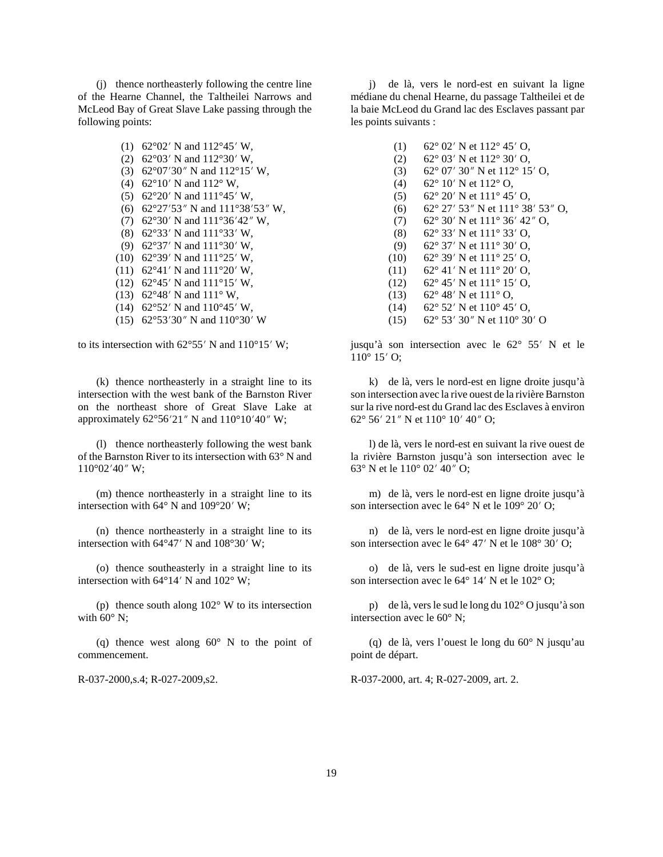(j) thence northeasterly following the centre line of the Hearne Channel, the Taltheilei Narrows and McLeod Bay of Great Slave Lake passing through the following points:

> (1) 62°02′ N and 112°45′ W, (2) 62°03′ N and 112°30′ W, (3) 62°07′30″ N and 112°15′ W, (4) 62°10′ N and 112° W, (5) 62°20′ N and  $111°45'$  W, (6) 62°27′53″ N and  $111°38'53''$  W, (7) 62°30′ N and  $111°36'42''$  W, (8) 62°33′ N and 111°33′ W, (9) 62°37′ N and 111°30′ W, (10) 62°39′ N and  $111°25'$  W, (11) 62°41′ N and 111°20′ W, (12) 62°45' N and  $111^{\circ}15'$  W, (13) 62°48′ N and 111° W, (14) 62°52′ N and  $110°45'$  W, (15) 62°53′30″ N and 110°30′ W

to its intersection with  $62^{\circ}55'$  N and  $110^{\circ}15'$  W;

(k) thence northeasterly in a straight line to its intersection with the west bank of the Barnston River on the northeast shore of Great Slave Lake at approximately  $62^{\circ}56'21''$  N and  $110^{\circ}10'40''$  W;

(l) thence northeasterly following the west bank of the Barnston River to its intersection with 63° N and  $110^{\circ}02'40''$  W;

(m) thence northeasterly in a straight line to its intersection with  $64^{\circ}$  N and  $109^{\circ}20'$  W;

(n) thence northeasterly in a straight line to its intersection with  $64^{\circ}47'$  N and  $108^{\circ}30'$  W;

(o) thence southeasterly in a straight line to its intersection with  $64^{\circ}14'$  N and  $102^{\circ}$  W;

(p) thence south along 102° W to its intersection with  $60^\circ$  N;

(q) thence west along  $60^{\circ}$  N to the point of commencement.

j) de là, vers le nord-est en suivant la ligne médiane du chenal Hearne, du passage Taltheilei et de la baie McLeod du Grand lac des Esclaves passant par les points suivants :

- (1) 62° 02′ N et 112° 45′ O,
- (2) 62 $\degree$  03' N et 112 $\degree$  30' O,
- (3) 62° 07′ 30″ N et 112° 15′ O,
- (4) 62° 10′ N et 112° O,
- (5) 62° 20′ N et  $111° 45'$  O,
- (6) 62° 27′ 53″ N et 111° 38′ 53″ O,
- (7) 62° 30′ N et 111° 36′ 42″ O,
- (8) 62° 33′ N et 111° 33′ O,
- (9) 62° 37′ N et  $111°30'$  O,
- (10) 62° 39′ N et 111° 25′ O,
- $(11)$  62° 41' N et 111° 20' O,  $(12)$  62° 45' N et 111° 15' O,
- (13) 62° 48′ N et 111° O,
- $(14)$  62° 52′ N et 110° 45′ O,
- (15) 62° 53′ 30″ N et 110° 30′ O

jusqu'à son intersection avec le 62° 55' N et le  $110^{\circ}$  15' O;

k) de là, vers le nord-est en ligne droite jusqu'à son intersection avec la rive ouest de la rivière Barnston sur la rive nord-est du Grand lac des Esclaves à environ 62° 56′ 21″ N et 110° 10′ 40″ O;

l) de là, vers le nord-est en suivant la rive ouest de la rivière Barnston jusqu'à son intersection avec le 63° N et le  $110^{\circ}$  02' 40" O;

m) de là, vers le nord-est en ligne droite jusqu'à son intersection avec le  $64^{\circ}$  N et le  $109^{\circ}$  20' O;

n) de là, vers le nord-est en ligne droite jusqu'à son intersection avec le  $64^{\circ}$  47' N et le  $108^{\circ}$  30' O;

o) de là, vers le sud-est en ligne droite jusqu'à son intersection avec le  $64^{\circ}$  14' N et le  $102^{\circ}$  O;

p) de là, vers le sud le long du 102° O jusqu'à son intersection avec le 60° N;

(q) de là, vers l'ouest le long du 60° N jusqu'au point de départ.

R-037-2000,s.4; R-027-2009,s2. R-037-2000, art. 4; R-027-2009, art. 2.